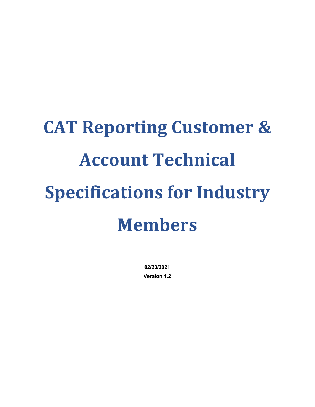# **CAT Reporting Customer & Account Technical Specifications for Industry Members**

**02/23/2021 Version 1.2**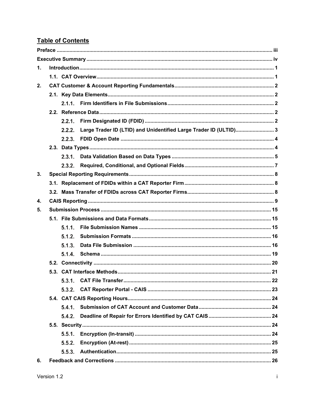# **Table of Contents**

| $\mathbf{1}$ . |  |        |                                                                  |  |  |  |  |  |  |  |
|----------------|--|--------|------------------------------------------------------------------|--|--|--|--|--|--|--|
|                |  |        |                                                                  |  |  |  |  |  |  |  |
| 2.             |  |        |                                                                  |  |  |  |  |  |  |  |
|                |  |        |                                                                  |  |  |  |  |  |  |  |
|                |  |        |                                                                  |  |  |  |  |  |  |  |
|                |  |        |                                                                  |  |  |  |  |  |  |  |
|                |  |        |                                                                  |  |  |  |  |  |  |  |
|                |  | 2.2.2. | Large Trader ID (LTID) and Unidentified Large Trader ID (ULTID)3 |  |  |  |  |  |  |  |
|                |  |        |                                                                  |  |  |  |  |  |  |  |
|                |  |        |                                                                  |  |  |  |  |  |  |  |
|                |  |        |                                                                  |  |  |  |  |  |  |  |
|                |  | 2.3.2. |                                                                  |  |  |  |  |  |  |  |
| 3.             |  |        |                                                                  |  |  |  |  |  |  |  |
|                |  |        |                                                                  |  |  |  |  |  |  |  |
|                |  |        |                                                                  |  |  |  |  |  |  |  |
| 4.             |  |        |                                                                  |  |  |  |  |  |  |  |
| 5.             |  |        |                                                                  |  |  |  |  |  |  |  |
|                |  |        |                                                                  |  |  |  |  |  |  |  |
|                |  | 5.1.1. |                                                                  |  |  |  |  |  |  |  |
|                |  | 5.1.2. |                                                                  |  |  |  |  |  |  |  |
|                |  | 5.1.3. |                                                                  |  |  |  |  |  |  |  |
|                |  | 5.1.4. |                                                                  |  |  |  |  |  |  |  |
|                |  |        |                                                                  |  |  |  |  |  |  |  |
|                |  |        |                                                                  |  |  |  |  |  |  |  |
|                |  |        |                                                                  |  |  |  |  |  |  |  |
|                |  |        |                                                                  |  |  |  |  |  |  |  |
|                |  |        |                                                                  |  |  |  |  |  |  |  |
|                |  | 5.4.1. |                                                                  |  |  |  |  |  |  |  |
|                |  | 5.4.2. |                                                                  |  |  |  |  |  |  |  |
|                |  |        |                                                                  |  |  |  |  |  |  |  |
|                |  |        |                                                                  |  |  |  |  |  |  |  |
|                |  | 5.5.2. |                                                                  |  |  |  |  |  |  |  |
|                |  |        |                                                                  |  |  |  |  |  |  |  |
| 6.             |  |        |                                                                  |  |  |  |  |  |  |  |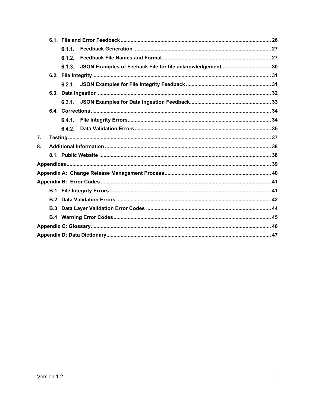|    |     | 6.1.1  |  |
|----|-----|--------|--|
|    |     | 6.1.2. |  |
|    |     |        |  |
|    |     |        |  |
|    |     |        |  |
|    |     |        |  |
|    |     |        |  |
|    |     |        |  |
|    |     |        |  |
|    |     | 6.4.2. |  |
| 7. |     |        |  |
| 8. |     |        |  |
|    |     |        |  |
|    |     |        |  |
|    |     |        |  |
|    |     |        |  |
|    |     |        |  |
|    | B.2 |        |  |
|    | B.3 |        |  |
|    |     |        |  |
|    |     |        |  |
|    |     |        |  |
|    |     |        |  |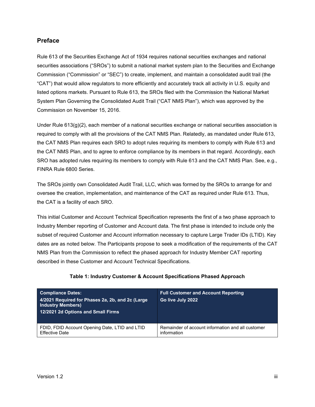#### <span id="page-3-0"></span>**Preface**

Rule 613 of the Securities Exchange Act of 1934 requires national securities exchanges and national securities associations ("SROs") to submit a national market system plan to the Securities and Exchange Commission ("Commission" or "SEC") to create, implement, and maintain a consolidated audit trail (the "CAT") that would allow regulators to more efficiently and accurately track all activity in U.S. equity and listed options markets. Pursuant to Rule 613, the SROs filed with the Commission the National Market System Plan Governing the Consolidated Audit Trail ("CAT NMS Plan"), which was approved by the Commission on November 15, 2016.

Under Rule  $613(q)(2)$ , each member of a national securities exchange or national securities association is required to comply with all the provisions of the CAT NMS Plan. Relatedly, as mandated under Rule 613, the CAT NMS Plan requires each SRO to adopt rules requiring its members to comply with Rule 613 and the CAT NMS Plan, and to agree to enforce compliance by its members in that regard. Accordingly, each SRO has adopted rules requiring its members to comply with Rule 613 and the CAT NMS Plan. See, e.g., FINRA Rule 6800 Series.

The SROs jointly own Consolidated Audit Trail, LLC, which was formed by the SROs to arrange for and oversee the creation, implementation, and maintenance of the CAT as required under Rule 613. Thus, the CAT is a facility of each SRO.

This initial Customer and Account Technical Specification represents the first of a two phase approach to Industry Member reporting of Customer and Account data. The first phase is intended to include only the subset of required Customer and Account information necessary to capture Large Trader IDs (LTID). Key dates are as noted below. The Participants propose to seek a modification of the requirements of the CAT NMS Plan from the Commission to reflect the phased approach for Industry Member CAT reporting described in these Customer and Account Technical Specifications.

| <b>Compliance Dates:</b><br>4/2021 Required for Phases 2a, 2b, and 2c (Large<br><b>Industry Members)</b><br>12/2021 2d Options and Small Firms | <b>Full Customer and Account Reporting</b><br>Go live July 2022 |
|------------------------------------------------------------------------------------------------------------------------------------------------|-----------------------------------------------------------------|
| FDID, FDID Account Opening Date, LTID and LTID                                                                                                 | Remainder of account information and all customer               |
| <b>Effective Date</b>                                                                                                                          | information                                                     |

#### **Table 1: Industry Customer & Account Specifications Phased Approach**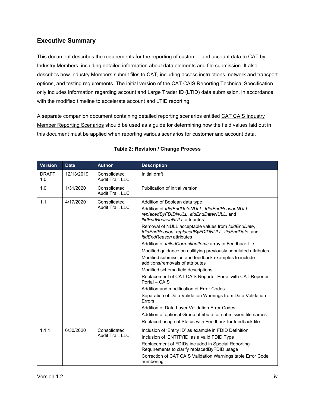# <span id="page-4-0"></span>**Executive Summary**

This document describes the requirements for the reporting of customer and account data to CAT by Industry Members, including detailed information about data elements and file submission. It also describes how Industry Members submit files to CAT, including access instructions, network and transport options, and testing requirements. The initial version of the CAT CAIS Reporting Technical Specification only includes information regarding account and Large Trader ID (LTID) data submission, in accordance with the modified timeline to accelerate account and LTID reporting.

A separate companion document containing detailed reporting scenarios entitled CAT CAIS Industry Member Reporting Scenarios should be used as a guide for determining how the field values laid out in this document must be applied when reporting various scenarios for customer and account data.

| <b>Version</b>      | <b>Date</b> | <b>Author</b>                    | <b>Description</b>                                                                                                                                                                                                                                                                                                                                                                                                                                                                                                                                                                                                                                                                                                                                                                                                                                                                                            |  |  |  |  |
|---------------------|-------------|----------------------------------|---------------------------------------------------------------------------------------------------------------------------------------------------------------------------------------------------------------------------------------------------------------------------------------------------------------------------------------------------------------------------------------------------------------------------------------------------------------------------------------------------------------------------------------------------------------------------------------------------------------------------------------------------------------------------------------------------------------------------------------------------------------------------------------------------------------------------------------------------------------------------------------------------------------|--|--|--|--|
| <b>DRAFT</b><br>1.0 | 12/13/2019  | Consolidated<br>Audit Trail, LLC | Initial draft                                                                                                                                                                                                                                                                                                                                                                                                                                                                                                                                                                                                                                                                                                                                                                                                                                                                                                 |  |  |  |  |
| 1.0                 | 1/31/2020   | Consolidated<br>Audit Trail, LLC | Publication of initial version                                                                                                                                                                                                                                                                                                                                                                                                                                                                                                                                                                                                                                                                                                                                                                                                                                                                                |  |  |  |  |
| 1.1                 | 4/17/2020   | Consolidated<br>Audit Trail, LLC | Addition of Boolean data type<br>Addition of fdidEndDateNULL, fdidEndReasonNULL,<br>replacedByFDIDNULL, ItidEndDateNULL, and<br><b>ItidEndReasonNULL</b> attributes<br>Removal of NULL acceptable values from fdidEndDate,<br>fdidEndReason, replacedByFDIDNULL, ItidEndDate, and<br><i>ItidEndReason</i> attributes<br>Addition of failed Correction Items array in Feedback file<br>Modified guidance on nullifying previously populated attributes<br>Modified submission and feedback examples to include<br>additions/removals of attributes<br>Modified schema field descriptions<br>Replacement of CAT CAIS Reporter Portal with CAT Reporter<br>Portal - CAIS<br>Addition and modification of Error Codes<br>Separation of Data Validation Warnings from Data Validation<br>Errors<br>Addition of Data Layer Validation Error Codes<br>Addition of optional Group attribute for submission file names |  |  |  |  |
| 1.1.1               | 6/30/2020   | Consolidated<br>Audit Trail, LLC | Replaced usage of Status with Feedback for feedback file<br>Inclusion of 'Entity ID' as example in FDID Definition<br>Inclusion of 'ENTITYID' as a valid FDID Type<br>Replacement of FDIDs included in Special Reporting<br>Requirements to clarify replacedByFDID usage<br>Correction of CAT CAIS Validation Warnings table Error Code<br>numbering                                                                                                                                                                                                                                                                                                                                                                                                                                                                                                                                                          |  |  |  |  |

#### **Table 2: Revision / Change Process**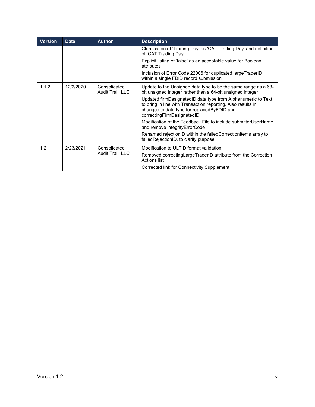| <b>Version</b> | <b>Date</b> | <b>Author</b>                    | <b>Description</b>                                                                                                                                                                                         |
|----------------|-------------|----------------------------------|------------------------------------------------------------------------------------------------------------------------------------------------------------------------------------------------------------|
|                |             |                                  | Clarification of 'Trading Day' as 'CAT Trading Day' and definition<br>of 'CAT Trading Day'                                                                                                                 |
|                |             |                                  | Explicit listing of 'false' as an acceptable value for Boolean<br>attributes                                                                                                                               |
|                |             |                                  | Inclusion of Error Code 22006 for duplicated largeTraderID<br>within a single FDID record submission                                                                                                       |
| 1.1.2          | 12/2/2020   | Consolidated<br>Audit Trail, LLC | Update to the Unsigned data type to be the same range as a 63-<br>bit unsigned integer rather than a 64-bit unsigned integer                                                                               |
|                |             |                                  | Updated firmDesignatedID data type from Alphanumeric to Text<br>to bring in line with Transaction reporting. Also results in<br>changes to data type for replacedByFDID and<br>correctingFirmDesignatedID. |
|                |             |                                  | Modification of the Feedback File to include submitterUserName<br>and remove integrity Error Code                                                                                                          |
|                |             |                                  | Renamed rejectionID within the failedCorrectionItems array to<br>failedRejectionID, to clarify purpose                                                                                                     |
| 1.2            | 2/23/2021   | Consolidated                     | Modification to ULTID format validation                                                                                                                                                                    |
|                |             | Audit Trail, LLC                 | Removed correcting Large TraderID attribute from the Correction<br>Actions list                                                                                                                            |
|                |             |                                  | Corrected link for Connectivity Supplement                                                                                                                                                                 |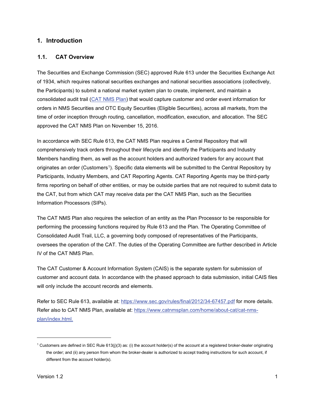#### <span id="page-6-0"></span>**1. Introduction**

#### <span id="page-6-1"></span>**1.1. CAT Overview**

The Securities and Exchange Commission (SEC) approved Rule 613 under the Securities Exchange Act of 1934, which requires national securities exchanges and national securities associations (collectively, the Participants) to submit a national market system plan to create, implement, and maintain a consolidated audit trail [\(CAT NMS Plan\)](https://www.catnmsplan.com/wp-content/uploads/2017/03/CAT-NMS-Plan-Current-as-of-7.24.17.pdf) that would capture customer and order event information for orders in NMS Securities and OTC Equity Securities (Eligible Securities), across all markets, from the time of order inception through routing, cancellation, modification, execution, and allocation. The SEC approved the CAT NMS Plan on November 15, 2016.

In accordance with SEC Rule 613, the CAT NMS Plan requires a Central Repository that will comprehensively track orders throughout their lifecycle and identify the Participants and Industry Members handling them, as well as the account holders and authorized traders for any account that originates an order (Customers[1\)](#page-6-2). Specific data elements will be submitted to the Central Repository by Participants, Industry Members, and CAT Reporting Agents. CAT Reporting Agents may be third-party firms reporting on behalf of other entities, or may be outside parties that are not required to submit data to the CAT, but from which CAT may receive data per the CAT NMS Plan, such as the Securities Information Processors (SIPs).

The CAT NMS Plan also requires the selection of an entity as the Plan Processor to be responsible for performing the processing functions required by Rule 613 and the Plan. The Operating Committee of Consolidated Audit Trail, LLC, a governing body composed of representatives of the Participants, oversees the operation of the CAT. The duties of the Operating Committee are further described in Article IV of the CAT NMS Plan.

The CAT Customer & Account Information System (CAIS) is the separate system for submission of customer and account data. In accordance with the phased approach to data submission, initial CAIS files will only include the account records and elements.

Refer to SEC Rule 613, available at:<https://www.sec.gov/rules/final/2012/34-67457.pdf> for more details. Refer also to CAT NMS Plan, available at: [https://www.catnmsplan.com/home/about-cat/cat-nms](https://www.catnmsplan.com/home/about-cat/cat-nms-plan/index.html)[plan/index.html.](https://www.catnmsplan.com/home/about-cat/cat-nms-plan/index.html)

<span id="page-6-2"></span><sup>&</sup>lt;sup>1</sup> Customers are defined in SEC Rule 613(j)(3) as: (i) the account holder(s) of the account at a registered broker-dealer originating the order; and (ii) any person from whom the broker-dealer is authorized to accept trading instructions for such account, if different from the account holder(s).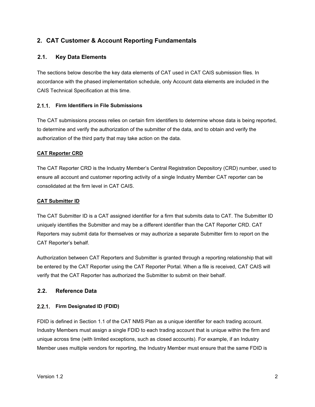# <span id="page-7-0"></span>**2. CAT Customer & Account Reporting Fundamentals**

#### <span id="page-7-1"></span>**2.1. Key Data Elements**

The sections below describe the key data elements of CAT used in CAT CAIS submission files. In accordance with the phased implementation schedule, only Account data elements are included in the CAIS Technical Specification at this time.

#### <span id="page-7-2"></span>**Firm Identifiers in File Submissions**

The CAT submissions process relies on certain firm identifiers to determine whose data is being reported, to determine and verify the authorization of the submitter of the data, and to obtain and verify the authorization of the third party that may take action on the data.

#### **CAT Reporter CRD**

The CAT Reporter CRD is the Industry Member's Central Registration Depository (CRD) number, used to ensure all account and customer reporting activity of a single Industry Member CAT reporter can be consolidated at the firm level in CAT CAIS.

#### **CAT Submitter ID**

The CAT Submitter ID is a CAT assigned identifier for a firm that submits data to CAT. The Submitter ID uniquely identifies the Submitter and may be a different identifier than the CAT Reporter CRD. CAT Reporters may submit data for themselves or may authorize a separate Submitter firm to report on the CAT Reporter's behalf.

Authorization between CAT Reporters and Submitter is granted through a reporting relationship that will be entered by the CAT Reporter using the CAT Reporter Portal. When a file is received, CAT CAIS will verify that the CAT Reporter has authorized the Submitter to submit on their behalf.

#### <span id="page-7-3"></span>**2.2. Reference Data**

#### <span id="page-7-4"></span>**Firm Designated ID (FDID)**

FDID is defined in Section 1.1 of the CAT NMS Plan as a unique identifier for each trading account. Industry Members must assign a single FDID to each trading account that is unique within the firm and unique across time (with limited exceptions, such as closed accounts). For example, if an Industry Member uses multiple vendors for reporting, the Industry Member must ensure that the same FDID is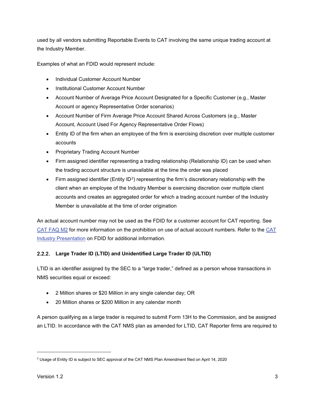used by all vendors submitting Reportable Events to CAT involving the same unique trading account at the Industry Member.

Examples of what an FDID would represent include:

- Individual Customer Account Number
- Institutional Customer Account Number
- Account Number of Average Price Account Designated for a Specific Customer (e.g., Master Account or agency Representative Order scenarios)
- Account Number of Firm Average Price Account Shared Across Customers (e.g., Master Account, Account Used For Agency Representative Order Flows)
- Entity ID of the firm when an employee of the firm is exercising discretion over multiple customer accounts
- Proprietary Trading Account Number
- Firm assigned identifier representing a trading relationship (Relationship ID) can be used when the trading account structure is unavailable at the time the order was placed
- Firm assigned identifier (Entity ID<sup>[2](#page-8-1)</sup>) representing the firm's discretionary relationship with the client when an employee of the Industry Member is exercising discretion over multiple client accounts and creates an aggregated order for which a trading account number of the Industry Member is unavailable at the time of order origination

An actual account number may not be used as the FDID for a customer account for CAT reporting. See [CAT FAQ M2](https://catnmsplan.com/faq/index.html#faqFDID) for more information on the prohibition on use of actual account numbers. Refer to the [CAT](https://catnmsplan.com/wp-content/uploads/2019/04/FDID-Guidance-April-2019.pdf)  Industry Presentation [on FDID for additional information.](https://catnmsplan.com/wp-content/uploads/2019/04/FDID-Guidance-April-2019.pdf)

#### <span id="page-8-0"></span>**Large Trader ID (LTID) and Unidentified Large Trader ID (ULTID)**

LTID is an identifier assigned by the SEC to a "large trader," defined as a person whose transactions in NMS securities equal or exceed:

- 2 Million shares or \$20 Million in any single calendar day; OR
- 20 Million shares or \$200 Million in any calendar month

A person qualifying as a large trader is required to submit Form 13H to the Commission, and be assigned an LTID. In accordance with the CAT NMS plan as amended for LTID, CAT Reporter firms are required to

<span id="page-8-1"></span><sup>&</sup>lt;sup>2</sup> Usage of Entity ID is subject to SEC approval of the CAT NMS Plan Amendment filed on April 14, 2020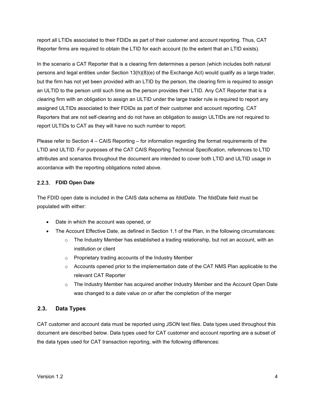report all LTIDs associated to their FDIDs as part of their customer and account reporting. Thus, CAT Reporter firms are required to obtain the LTID for each account (to the extent that an LTID exists).

In the scenario a CAT Reporter that is a clearing firm determines a person (which includes both natural persons and legal entities under Section 13(h)(8)(e) of the Exchange Act) would qualify as a large trader, but the firm has not yet been provided with an LTID by the person, the clearing firm is required to assign an ULTID to the person until such time as the person provides their LTID. Any CAT Reporter that is a clearing firm with an obligation to assign an ULTID under the large trader rule is required to report any assigned ULTIDs associated to their FDIDs as part of their customer and account reporting. CAT Reporters that are not self-clearing and do not have an obligation to assign ULTIDs are not required to report ULTIDs to CAT as they will have no such number to report.

Please refer to Section 4 – CAIS Reporting – for information regarding the format requirements of the LTID and ULTID. For purposes of the CAT CAIS Reporting Technical Specification, references to LTID attributes and scenarios throughout the document are intended to cover both LTID and ULTID usage in accordance with the reporting obligations noted above.

#### <span id="page-9-0"></span>**FDID Open Date**

The FDID open date is included in the CAIS data schema as *fdidDate*. The fdidDate field must be populated with either:

- Date in which the account was opened, or
- The Account Effective Date, as defined in Section 1.1 of the Plan, in the following circumstances:
	- $\circ$  The Industry Member has established a trading relationship, but not an account, with an institution or client
	- o Proprietary trading accounts of the Industry Member
	- $\circ$  Accounts opened prior to the implementation date of the CAT NMS Plan applicable to the relevant CAT Reporter
	- $\circ$  The Industry Member has acquired another Industry Member and the Account Open Date was changed to a date value on or after the completion of the merger

# <span id="page-9-1"></span>**2.3. Data Types**

CAT customer and account data must be reported using JSON text files. Data types used throughout this document are described below. Data types used for CAT customer and account reporting are a subset of the data types used for CAT transaction reporting, with the following differences: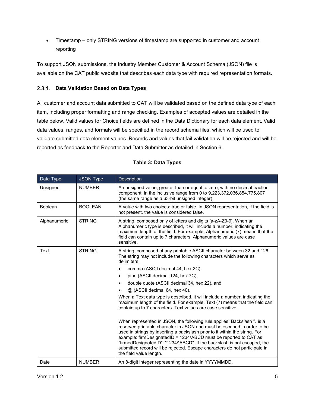• Timestamp – only STRING versions of timestamp are supported in customer and account reporting

To support JSON submissions, the [Industry](https://catnmsplan.com/technical-specifications/index.html) Member Customer & Account Schema (JSON) file is available on the CAT public website that describes each data type with required representation formats.

# <span id="page-10-0"></span>**Data Validation Based on Data Types**

All customer and account data submitted to CAT will be validated based on the defined data type of each item, including proper formatting and range checking. Examples of accepted values are detailed in the table below. Valid values for Choice fields are defined in the Data Dictionary for each data element. Valid data values, ranges, and formats will be specified in the record schema files, which will be used to validate submitted data element values. Records and values that fail validation will be rejected and will be reported as feedback to the Reporter and Data Submitter as detailed in Section 6.

<span id="page-10-1"></span>

| Data Type    | <b>JSON Type</b> | Description                                                                                                                                                                                                                                                                                                                                                                                                                                                                                 |  |  |  |  |  |
|--------------|------------------|---------------------------------------------------------------------------------------------------------------------------------------------------------------------------------------------------------------------------------------------------------------------------------------------------------------------------------------------------------------------------------------------------------------------------------------------------------------------------------------------|--|--|--|--|--|
| Unsigned     | <b>NUMBER</b>    | An unsigned value, greater than or equal to zero, with no decimal fraction<br>component, in the inclusive range from 0 to 9,223,372,036,854,775,807<br>(the same range as a 63-bit unsigned integer).                                                                                                                                                                                                                                                                                       |  |  |  |  |  |
| Boolean      | <b>BOOLEAN</b>   | A value with two choices: true or false. In JSON representation, if the field is<br>not present, the value is considered false.                                                                                                                                                                                                                                                                                                                                                             |  |  |  |  |  |
| Alphanumeric | <b>STRING</b>    | A string, composed only of letters and digits [a-zA-Z0-9]. When an<br>Alphanumeric type is described, it will include a number, indicating the<br>maximum length of the field. For example, Alphanumeric (7) means that the<br>field can contain up to 7 characters. Alphanumeric values are case<br>sensitive.                                                                                                                                                                             |  |  |  |  |  |
| Text         | <b>STRING</b>    | A string, composed of any printable ASCII character between 32 and 126.<br>The string may not include the following characters which serve as<br>delimiters:                                                                                                                                                                                                                                                                                                                                |  |  |  |  |  |
|              |                  | comma (ASCII decimal 44, hex 2C),<br>$\bullet$                                                                                                                                                                                                                                                                                                                                                                                                                                              |  |  |  |  |  |
|              |                  | pipe (ASCII decimal 124, hex 7C),<br>$\bullet$                                                                                                                                                                                                                                                                                                                                                                                                                                              |  |  |  |  |  |
|              |                  | double quote (ASCII decimal 34, hex 22), and<br>$\bullet$                                                                                                                                                                                                                                                                                                                                                                                                                                   |  |  |  |  |  |
|              |                  | @ (ASCII decimal 64, hex 40).                                                                                                                                                                                                                                                                                                                                                                                                                                                               |  |  |  |  |  |
|              |                  | When a Text data type is described, it will include a number, indicating the<br>maximum length of the field. For example, Text (7) means that the field can<br>contain up to 7 characters. Text values are case sensitive.                                                                                                                                                                                                                                                                  |  |  |  |  |  |
|              |                  | When represented in JSON, the following rule applies: Backslash '\' is a<br>reserved printable character in JSON and must be escaped in order to be<br>used in strings by inserting a backslash prior to it within the string. For<br>example: firmDesignatedID = 1234\ABCD must be reported to CAT as<br>"firmedDesignatedID": "1234\\ABCD". If the backslash is not escaped, the<br>submitted record will be rejected. Escape characters do not participate in<br>the field value length. |  |  |  |  |  |
| Date         | <b>NUMBER</b>    | An 8-digit integer representing the date in YYYYMMDD.                                                                                                                                                                                                                                                                                                                                                                                                                                       |  |  |  |  |  |

#### **Table 3: Data Types**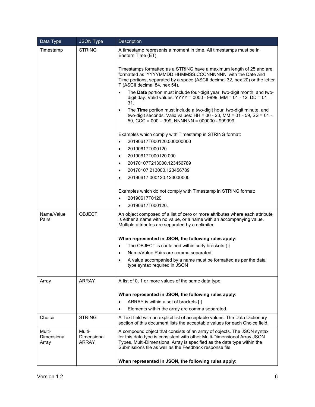| Data Type                      | <b>JSON Type</b>               | Description                                                                                                                                                                                                                                                                               |  |  |  |  |
|--------------------------------|--------------------------------|-------------------------------------------------------------------------------------------------------------------------------------------------------------------------------------------------------------------------------------------------------------------------------------------|--|--|--|--|
| Timestamp                      | <b>STRING</b>                  | A timestamp represents a moment in time. All timestamps must be in<br>Eastern Time (ET).                                                                                                                                                                                                  |  |  |  |  |
|                                |                                | Timestamps formatted as a STRING have a maximum length of 25 and are<br>formatted as 'YYYYMMDD HHMMSS.CCCNNNNNNN' with the Date and<br>Time portions, separated by a space (ASCII decimal 32, hex 20) or the letter<br>T (ASCII decimal 84, hex 54).                                      |  |  |  |  |
|                                |                                | The Date portion must include four-digit year, two-digit month, and two-<br>digit day. Valid values: YYYY = 0000 - 9999, MM = 01 - 12, DD = 01 -<br>31.                                                                                                                                   |  |  |  |  |
|                                |                                | The Time portion must include a two-digit hour, two-digit minute, and<br>$\bullet$<br>two-digit seconds. Valid values: HH = $00 - 23$ , MM = $01 - 59$ , SS = $01 -$<br>59, CCC = $000 - 999$ , NNNNNN = $000000 - 999999$ .                                                              |  |  |  |  |
|                                |                                | Examples which comply with Timestamp in STRING format:                                                                                                                                                                                                                                    |  |  |  |  |
|                                |                                | 20190617T000120.000000000<br>$\bullet$                                                                                                                                                                                                                                                    |  |  |  |  |
|                                |                                | 20190617T000120<br>$\bullet$                                                                                                                                                                                                                                                              |  |  |  |  |
|                                |                                | 20190617T000120.000<br>$\bullet$                                                                                                                                                                                                                                                          |  |  |  |  |
|                                |                                | 20170107T213000.123456789<br>$\bullet$                                                                                                                                                                                                                                                    |  |  |  |  |
|                                |                                | 20170107 213000.123456789<br>$\bullet$                                                                                                                                                                                                                                                    |  |  |  |  |
|                                |                                | 20190617 000120.123000000<br>$\bullet$                                                                                                                                                                                                                                                    |  |  |  |  |
|                                |                                | Examples which do not comply with Timestamp in STRING format:                                                                                                                                                                                                                             |  |  |  |  |
|                                |                                | 20190617T0120<br>$\bullet$                                                                                                                                                                                                                                                                |  |  |  |  |
|                                |                                | 20190617T000120.<br>$\bullet$                                                                                                                                                                                                                                                             |  |  |  |  |
| Name/Value<br>Pairs            | <b>OBJECT</b>                  | An object composed of a list of zero or more attributes where each attribute<br>is either a name with no value, or a name with an accompanying value.<br>Multiple attributes are separated by a delimiter.                                                                                |  |  |  |  |
|                                |                                | When represented in JSON, the following rules apply:                                                                                                                                                                                                                                      |  |  |  |  |
|                                |                                | The OBJECT is contained within curly brackets $\{\}$<br>$\bullet$                                                                                                                                                                                                                         |  |  |  |  |
|                                |                                | Name/Value Pairs are comma separated<br>$\bullet$                                                                                                                                                                                                                                         |  |  |  |  |
|                                |                                | A value accompanied by a name must be formatted as per the data<br>$\bullet$<br>type syntax required in JSON                                                                                                                                                                              |  |  |  |  |
| Array                          | <b>ARRAY</b>                   | A list of 0, 1 or more values of the same data type.                                                                                                                                                                                                                                      |  |  |  |  |
|                                |                                | When represented in JSON, the following rules apply:                                                                                                                                                                                                                                      |  |  |  |  |
|                                |                                | ARRAY is within a set of brackets []<br>$\bullet$                                                                                                                                                                                                                                         |  |  |  |  |
|                                |                                | Elements within the array are comma separated.                                                                                                                                                                                                                                            |  |  |  |  |
| Choice                         | <b>STRING</b>                  | A Text field with an explicit list of acceptable values. The Data Dictionary<br>section of this document lists the acceptable values for each Choice field.                                                                                                                               |  |  |  |  |
| Multi-<br>Dimensional<br>Array | Multi-<br>Dimensional<br>ARRAY | A compound object that consists of an array of objects. The JSON syntax<br>for this data type is consistent with other Multi-Dimensional Array JSON<br>Types. Multi-Dimensional Array is specified as the data type within the<br>Submissions file as well as the Feedback response file. |  |  |  |  |
|                                |                                | When represented in JSON, the following rules apply:                                                                                                                                                                                                                                      |  |  |  |  |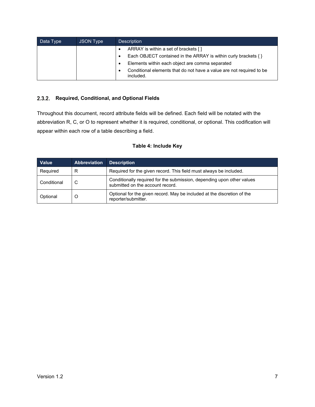| Data Type | JSON Type | <b>Description</b>                                                                |  |  |  |  |
|-----------|-----------|-----------------------------------------------------------------------------------|--|--|--|--|
|           |           | ARRAY is within a set of brackets []                                              |  |  |  |  |
|           |           | Each OBJECT contained in the ARRAY is within curly brackets { }                   |  |  |  |  |
|           |           | Elements within each object are comma separated                                   |  |  |  |  |
|           |           | Conditional elements that do not have a value are not required to be<br>included. |  |  |  |  |

#### <span id="page-12-0"></span>**Required, Conditional, and Optional Fields**

Throughout this document, record attribute fields will be defined. Each field will be notated with the abbreviation R, C, or O to represent whether it is required, conditional, or optional. This codification will appear within each row of a table describing a field.

#### **Table 4: Include Key**

| <b>Value</b> | <b>Abbreviation</b> | <b>Description</b>                                                                                         |  |  |  |
|--------------|---------------------|------------------------------------------------------------------------------------------------------------|--|--|--|
| Required     | R                   | Required for the given record. This field must always be included.                                         |  |  |  |
| Conditional  | C                   | Conditionally required for the submission, depending upon other values<br>submitted on the account record. |  |  |  |
| Optional     | O                   | Optional for the given record. May be included at the discretion of the<br>reporter/submitter.             |  |  |  |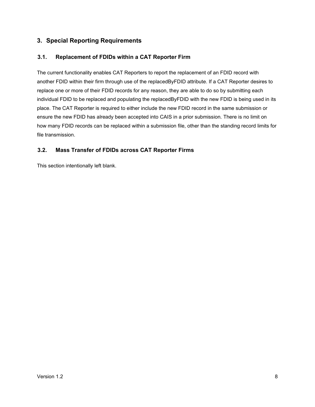# <span id="page-13-0"></span>**3. Special Reporting Requirements**

#### <span id="page-13-1"></span>**3.1. Replacement of FDIDs within a CAT Reporter Firm**

The current functionality enables CAT Reporters to report the replacement of an FDID record with another FDID within their firm through use of the replacedByFDID attribute. If a CAT Reporter desires to replace one or more of their FDID records for any reason, they are able to do so by submitting each individual FDID to be replaced and populating the replacedByFDID with the new FDID is being used in its place. The CAT Reporter is required to either include the new FDID record in the same submission or ensure the new FDID has already been accepted into CAIS in a prior submission. There is no limit on how many FDID records can be replaced within a submission file, other than the standing record limits for file transmission.

#### <span id="page-13-2"></span>**3.2. Mass Transfer of FDIDs across CAT Reporter Firms**

This section intentionally left blank.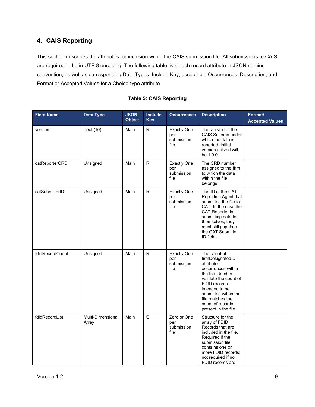# <span id="page-14-0"></span>**4. CAIS Reporting**

This section describes the attributes for inclusion within the CAIS submission file. All submissions to CAIS are required to be in UTF-8 encoding. The following table lists each record attribute in JSON naming convention, as well as corresponding Data Types, Include Key, acceptable Occurrences, Description, and Format or Accepted Values for a Choice-type attribute.

| <b>Field Name</b> | Data Type                  | <b>JSON</b><br><b>Object</b> | Include<br><b>Key</b> | <b>Occurrences</b>                              | <b>Description</b>                                                                                                                                                                                                                          | Format/<br><b>Accepted Values</b> |
|-------------------|----------------------------|------------------------------|-----------------------|-------------------------------------------------|---------------------------------------------------------------------------------------------------------------------------------------------------------------------------------------------------------------------------------------------|-----------------------------------|
| version           | Text (10)                  | Main                         | R.                    | <b>Exactly One</b><br>per<br>submission<br>file | The version of the<br>CAIS Schema under<br>which the data is<br>reported. Initial<br>version utilized will<br>be 1.0.0                                                                                                                      |                                   |
| catReporterCRD    | Unsigned                   | Main                         | ${\sf R}$             | <b>Exactly One</b><br>per<br>submission<br>file | The CRD number<br>assigned to the firm<br>to which the data<br>within the file<br>belongs.                                                                                                                                                  |                                   |
| catSubmitterID    | Unsigned                   | Main                         | ${\sf R}$             | <b>Exactly One</b><br>per<br>submission<br>file | The ID of the CAT<br>Reporting Agent that<br>submitted the file to<br>CAT. In the case the<br>CAT Reporter is<br>submitting data for<br>themselves, they<br>must still populate<br>the CAT Submitter<br>ID field.                           |                                   |
| fdidRecordCount   | Unsigned                   | Main                         | R.                    | <b>Exactly One</b><br>per<br>submission<br>file | The count of<br>firmDesignatedID<br>attribute<br>occurrences within<br>the file. Used to<br>validate the count of<br>FDID records<br>intended to be<br>submitted within the<br>file matches the<br>count of records<br>present in the file. |                                   |
| fdidRecordList    | Multi-Dimensional<br>Array | Main                         | $\mathsf{C}$          | Zero or One<br>per<br>submission<br>file        | Structure for the<br>array of FDID<br>Records that are<br>included in the file.<br>Required if the<br>submission file<br>contains one or<br>more FDID records;<br>not required if no<br>FDID records are                                    |                                   |

#### **Table 5: CAIS Reporting**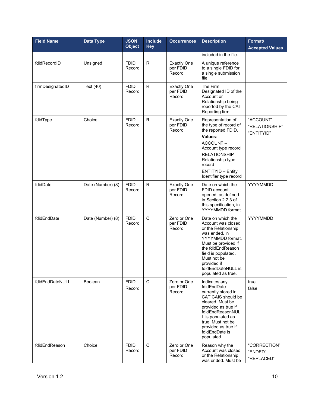| <b>Field Name</b> | <b>Data Type</b>  | <b>JSON</b><br><b>Object</b> | <b>Include</b><br><b>Key</b> | <b>Occurrences</b>                       | <b>Description</b>                                                                                                                                                                                                                               | Format/<br><b>Accepted Values</b>         |
|-------------------|-------------------|------------------------------|------------------------------|------------------------------------------|--------------------------------------------------------------------------------------------------------------------------------------------------------------------------------------------------------------------------------------------------|-------------------------------------------|
|                   |                   |                              |                              |                                          | included in the file.                                                                                                                                                                                                                            |                                           |
| fdidRecordID      | Unsigned          | <b>FDID</b><br>Record        | $\mathsf{R}$                 | <b>Exactly One</b><br>per FDID<br>Record | A unique reference<br>to a single FDID for<br>a single submission<br>file.                                                                                                                                                                       |                                           |
| firmDesignatedID  | Text (40)         | <b>FDID</b><br>Record        | $\mathsf{R}$                 | <b>Exactly One</b><br>per FDID<br>Record | The Firm<br>Designated ID of the<br>Account or<br>Relationship being<br>reported by the CAT<br>Reporting firm.                                                                                                                                   |                                           |
| fdidType          | Choice            | <b>FDID</b><br>Record        | ${\sf R}$                    | <b>Exactly One</b><br>per FDID<br>Record | Representation of<br>the type of record of<br>the reported FDID.<br>Values:<br>ACCOUNT-<br>Account type record<br>RELATIONSHIP-<br>Relationship type<br>record<br><b>ENTITYID - Entity</b><br>Identifier type record                             | "ACCOUNT"<br>"RELATIONSHIP"<br>"ENTITYID" |
| fdidDate          | Date (Number) (8) | <b>FDID</b><br>Record        | $\mathsf{R}$                 | <b>Exactly One</b><br>per FDID<br>Record | Date on which the<br>FDID account<br>opened, as defined<br>in Section 2.2.3 of<br>this specification, in<br>YYYYMMDD format.                                                                                                                     | YYYYMMDD                                  |
| fdidEndDate       | Date (Number) (8) | <b>FDID</b><br>Record        | $\mathsf C$                  | Zero or One<br>per FDID<br>Record        | Date on which the<br>Account was closed<br>or the Relationship<br>was ended, in<br>YYYYMMDD format.<br>Must be provided if<br>the fdidEndReason<br>field is populated.<br>Must not be<br>provided if<br>fdidEndDateNULL is<br>populated as true. | YYYYMMDD                                  |
| fdidEndDateNULL   | <b>Boolean</b>    | <b>FDID</b><br>Record        | $\mathbf C$                  | Zero or One<br>per FDID<br>Record        | Indicates any<br>fdidEndDate<br>currently stored in<br>CAT CAIS should be<br>cleared. Must be<br>provided as true if<br>fdidEndReasonNUL<br>L is populated as<br>true. Must not be<br>provided as true if<br>fdidEndDate is<br>populated.        | true<br>false                             |
| fdidEndReason     | Choice            | <b>FDID</b><br>Record        | $\mathsf C$                  | Zero or One<br>per FDID<br>Record        | Reason why the<br>Account was closed<br>or the Relationship<br>was ended. Must be                                                                                                                                                                | "CORRECTION"<br>"ENDED"<br>"REPLACED"     |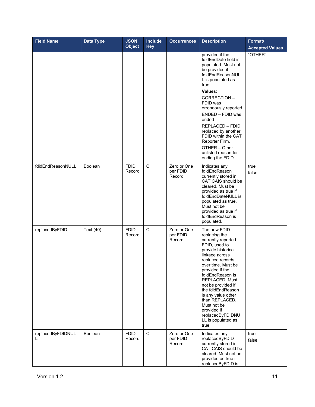| <b>Field Name</b>      | Data Type      | <b>JSON</b><br><b>Object</b> | <b>Include</b><br><b>Key</b> | <b>Occurrences</b>                | <b>Description</b>                                                                                                                                                                                                                                                                                                                                                                  | Format/<br><b>Accepted Values</b> |
|------------------------|----------------|------------------------------|------------------------------|-----------------------------------|-------------------------------------------------------------------------------------------------------------------------------------------------------------------------------------------------------------------------------------------------------------------------------------------------------------------------------------------------------------------------------------|-----------------------------------|
|                        |                |                              |                              |                                   | provided if the<br>fdidEndDate field is<br>populated. Must not<br>be provided if<br>fdidEndReasonNUL<br>L is populated as<br>true.<br>Values:<br>CORRECTION-<br>FDID was<br>erroneously reported<br>ENDED - FDID was<br>ended<br>REPLACED - FDID<br>replaced by another<br>FDID within the CAT<br>Reporter Firm.<br>OTHER - Other<br>unlisted reason for<br>ending the FDID         | "OTHER"                           |
| fdidEndReasonNULL      | <b>Boolean</b> | <b>FDID</b><br>Record        | $\mathbf C$                  | Zero or One<br>per FDID<br>Record | Indicates any<br>fdidEndReason<br>currently stored in<br>CAT CAIS should be<br>cleared. Must be<br>provided as true if<br>fdidEndDateNULL is<br>populated as true.<br>Must not be<br>provided as true if<br>fdidEndReason is<br>populated.                                                                                                                                          | true<br>false                     |
| replacedByFDID         | Text (40)      | <b>FDID</b><br>Record        | $\mathbf C$                  | Zero or One<br>per FDID<br>Record | The new FDID<br>replacing the<br>currently reported<br>FDID, used to<br>provide historical<br>linkage across<br>replaced records<br>over time. Must be<br>provided if the<br>fdidEndReason is<br>REPLACED. Must<br>not be provided if<br>the fdidEndReason<br>is any value other<br>than REPLACED.<br>Must not be<br>provided if<br>replacedByFDIDNU<br>LL is populated as<br>true. |                                   |
| replacedByFDIDNUL<br>L | Boolean        | <b>FDID</b><br>Record        | $\mathbf C$                  | Zero or One<br>per FDID<br>Record | Indicates any<br>replacedByFDID<br>currently stored in<br>CAT CAIS should be<br>cleared. Must not be<br>provided as true if<br>replacedByFDID is                                                                                                                                                                                                                                    | true<br>false                     |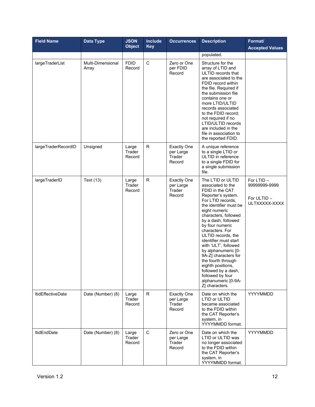| <b>Field Name</b>        | Data Type                  | <b>JSON</b><br><b>Object</b> | Include<br><b>Key</b> | <b>Occurrences</b>                                  | <b>Description</b>                                                                                                                                                                                                                                                                                                                                                                                                                                                                        | Format/<br><b>Accepted Values</b>                           |
|--------------------------|----------------------------|------------------------------|-----------------------|-----------------------------------------------------|-------------------------------------------------------------------------------------------------------------------------------------------------------------------------------------------------------------------------------------------------------------------------------------------------------------------------------------------------------------------------------------------------------------------------------------------------------------------------------------------|-------------------------------------------------------------|
|                          |                            |                              |                       |                                                     | populated.                                                                                                                                                                                                                                                                                                                                                                                                                                                                                |                                                             |
| largeTraderList          | Multi-Dimensional<br>Array | <b>FDID</b><br>Record        | $\mathbf C$           | Zero or One<br>per FDID<br>Record                   | Structure for the<br>array of LTID and<br>ULTID records that<br>are associated to the<br>FDID record within<br>the file. Required if<br>the submission file<br>contains one or<br>more LTID/ULTID<br>records associated<br>to the FDID record;<br>not required if no<br>LTID/ULTID records<br>are included in the<br>file in association to<br>the reported FDID.                                                                                                                         |                                                             |
| largeTraderRecordID      | Unsigned                   | Large<br>Trader<br>Record    | R                     | <b>Exactly One</b><br>per Large<br>Trader<br>Record | A unique reference<br>to a single LTID or<br>ULTID in reference<br>to a single FDID for<br>a single submission<br>file.                                                                                                                                                                                                                                                                                                                                                                   |                                                             |
| largeTraderID            | Text (13)                  | Large<br>Trader<br>Record    | $\mathsf{R}$          | <b>Exactly One</b><br>per Large<br>Trader<br>Record | The LTID or ULTID<br>associated to the<br>FDID in the CAT<br>Reporter's system.<br>For LTID records.<br>the identifier must be<br>eight numeric<br>characters, followed<br>by a dash, followed<br>by four numeric<br>characters. For<br>ULTID records, the<br>identifier must start<br>with 'ULT', followed<br>by alphanumeric [0-<br>9A-Z] characters for<br>the fourth through<br>eighth positions,<br>followed by a dash,<br>followed by four<br>alphanumeric [0-9A-<br>Z] characters. | For LTID -<br>99999999-9999<br>For ULTID -<br>ULTXXXXX-XXXX |
| <b>ItidEffectiveDate</b> | Date (Number) (8)          | Large<br>Trader<br>Record    | R.                    | <b>Exactly One</b><br>per Large<br>Trader<br>Record | Date on which the<br>LTID or ULTID<br>became associated<br>to the FDID within<br>the CAT Reporter's<br>system, in<br>YYYYMMDD format.                                                                                                                                                                                                                                                                                                                                                     | YYYYMMDD                                                    |
| <b>ItidEndDate</b>       | Date (Number) (8)          | Large<br>Trader<br>Record    | $\mathsf{C}$          | Zero or One<br>per Large<br>Trader<br>Record        | Date on which the<br>LTID or ULTID was<br>no longer associated<br>to the FDID within<br>the CAT Reporter's<br>system, in<br>YYYYMMDD format.                                                                                                                                                                                                                                                                                                                                              | YYYYMMDD                                                    |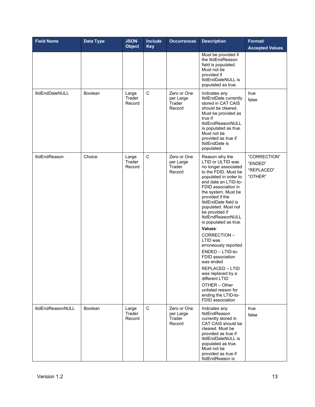| <b>Field Name</b>      | <b>Data Type</b> | <b>JSON</b><br><b>Object</b> | <b>Include</b><br><b>Key</b> | <b>Occurrences</b>                           | <b>Description</b>                                                                                                                                                                                                                                                                                                                                                                                                                                                                                                                                                                   | Format/<br><b>Accepted Values</b>                |
|------------------------|------------------|------------------------------|------------------------------|----------------------------------------------|--------------------------------------------------------------------------------------------------------------------------------------------------------------------------------------------------------------------------------------------------------------------------------------------------------------------------------------------------------------------------------------------------------------------------------------------------------------------------------------------------------------------------------------------------------------------------------------|--------------------------------------------------|
|                        |                  |                              |                              |                                              | Must be provided if<br>the ItidEndReason<br>field is populated.<br>Must not be<br>provided if<br>ItidEndDateNULL is<br>populated as true.                                                                                                                                                                                                                                                                                                                                                                                                                                            |                                                  |
| <b>ItidEndDateNULL</b> | <b>Boolean</b>   | Large<br>Trader<br>Record    | $\mathsf C$                  | Zero or One<br>per Large<br>Trader<br>Record | Indicates any<br>ItidEndDate currently<br>stored in CAT CAIS<br>should be cleared.<br>Must be provided as<br>true if<br>ItidEndReasonNULL<br>is populated as true.<br>Must not be<br>provided as true if<br>ItidEndDate is<br>populated.                                                                                                                                                                                                                                                                                                                                             | true<br>false                                    |
| <b>ItidEndReason</b>   | Choice           | Large<br>Trader<br>Record    | $\mathsf C$                  | Zero or One<br>per Large<br>Trader<br>Record | Reason why the<br>LTID or ULTID was<br>no longer associated<br>to the FDID. Must be<br>populated in order to<br>end date an LTID-to-<br>FDID association in<br>the system. Must be<br>provided if the<br>ItidEndDate field is<br>populated. Must not<br>be provided if<br>ItidEndReasonNULL<br>is populated as true.<br>Values:<br>CORRECTION-<br>LTID was<br>erroneously reported<br>ENDED - LTID-to-<br>FDID association<br>was ended<br>REPLACED - LTID<br>was replaced by a<br>different LTID<br>OTHER - Other<br>unlisted reason for<br>ending the LTID-to-<br>FDID association | "CORRECTION"<br>"ENDED"<br>"REPLACED"<br>"OTHER" |
| ItidEndReasonNULL      | Boolean          | Large<br>Trader<br>Record    | $\mathbf C$                  | Zero or One<br>per Large<br>Trader<br>Record | Indicates any<br>ItidEndReason<br>currently stored in<br>CAT CAIS should be<br>cleared. Must be<br>provided as true if<br>ItidEndDateNULL is<br>populated as true.<br>Must not be<br>provided as true if<br>ItidEndReason is                                                                                                                                                                                                                                                                                                                                                         | true<br>false                                    |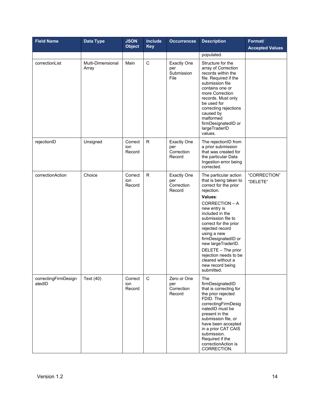| <b>Field Name</b>              | <b>Data Type</b>           | <b>JSON</b><br><b>Object</b> | <b>Include</b><br><b>Key</b> | <b>Occurrences</b>                                | <b>Description</b>                                                                                                                                                                                                                                                                                                                                                                         | Format/<br><b>Accepted Values</b> |
|--------------------------------|----------------------------|------------------------------|------------------------------|---------------------------------------------------|--------------------------------------------------------------------------------------------------------------------------------------------------------------------------------------------------------------------------------------------------------------------------------------------------------------------------------------------------------------------------------------------|-----------------------------------|
|                                |                            |                              |                              |                                                   | populated.                                                                                                                                                                                                                                                                                                                                                                                 |                                   |
| correctionList                 | Multi-Dimensional<br>Array | Main                         | $\mathsf C$                  | <b>Exactly One</b><br>per<br>Submission<br>File   | Structure for the<br>array of Correction<br>records within the<br>file. Required if the<br>submission file<br>contains one or<br>more Correction<br>records. Must only<br>be used for<br>correcting rejections<br>caused by<br>malformed<br>firmDesignatedID or<br>largeTraderID<br>values.                                                                                                |                                   |
| rejectionID                    | Unsigned                   | Correct<br>ion<br>Record     | $\mathsf{R}$                 | <b>Exactly One</b><br>per<br>Correction<br>Record | The rejectionID from<br>a prior submission<br>that was created for<br>the particular Data<br>Ingestion error being<br>corrected.                                                                                                                                                                                                                                                           |                                   |
| correctionAction               | Choice                     | Correct<br>ion<br>Record     | ${\sf R}$                    | <b>Exactly One</b><br>per<br>Correction<br>Record | The particular action<br>that is being taken to<br>correct for the prior<br>rejection.<br>Values:<br>CORRECTION - A<br>new entry is<br>included in the<br>submission file to<br>correct for the prior<br>rejected record<br>using a new<br>firmDesignatedID or<br>new largeTraderID.<br>DELETE - The prior<br>rejection needs to be<br>cleared without a<br>new record being<br>submitted. | "CORRECTION"<br>"DELETE"          |
| correctingFirmDesign<br>atedID | Text (40)                  | Correct<br>ion<br>Record     | $\mathbf C$                  | Zero or One<br>per<br>Correction<br>Record        | The<br>firmDesignatedID<br>that is correcting for<br>the prior rejected<br>FDID. The<br>correctingFirmDesig<br>natedID must be<br>present in the<br>submission file, or<br>have been accepted<br>in a prior CAT CAIS<br>submission.<br>Required if the<br>correctionAction is<br>CORRECTION.                                                                                               |                                   |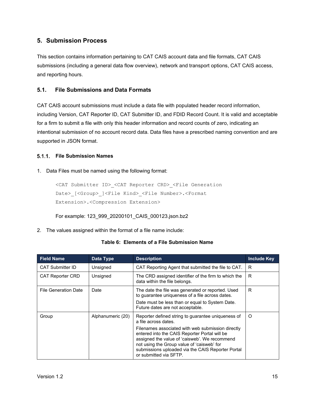# <span id="page-20-0"></span>**5. Submission Process**

This section contains information pertaining to CAT CAIS account data and file formats, CAT CAIS submissions (including a general data flow overview), network and transport options, CAT CAIS access, and reporting hours.

#### <span id="page-20-1"></span>**5.1. File Submissions and Data Formats**

CAT CAIS account submissions must include a data file with populated header record information, including Version, CAT Reporter ID, CAT Submitter ID, and FDID Record Count. It is valid and acceptable for a firm to submit a file with only this header information and record counts of zero, indicating an intentional submission of no account record data. Data files have a prescribed naming convention and are supported in JSON format.

#### <span id="page-20-2"></span>**File Submission Names**

#### 1. Data Files must be named using the following format:

```
<CAT Submitter ID>_<CAT Reporter CRD>_<File Generation 
Date> [<Group> ]<File Kind> <File Number>.<Format
Extension>.<Compression Extension>
```
For example: 123\_999\_20200101\_CAIS\_000123.json.bz2

2. The values assigned within the format of a file name include:

#### **Table 6: Elements of a File Submission Name**

| <b>Field Name</b>           | Data Type         | <b>Description</b>                                                                                                                                                                                                                                                                                                                                             | <b>Include Key</b> |
|-----------------------------|-------------------|----------------------------------------------------------------------------------------------------------------------------------------------------------------------------------------------------------------------------------------------------------------------------------------------------------------------------------------------------------------|--------------------|
| <b>CAT Submitter ID</b>     | Unsigned          | CAT Reporting Agent that submitted the file to CAT.                                                                                                                                                                                                                                                                                                            | R                  |
| <b>CAT Reporter CRD</b>     | Unsigned          | The CRD assigned identifier of the firm to which the<br>data within the file belongs.                                                                                                                                                                                                                                                                          | R                  |
| <b>File Generation Date</b> | Date              | The date the file was generated or reported. Used<br>to guarantee uniqueness of a file across dates.<br>Date must be less than or equal to System Date.<br>Future dates are not acceptable.                                                                                                                                                                    | R                  |
| Group                       | Alphanumeric (20) | Reporter defined string to guarantee uniqueness of<br>a file across dates.<br>Filenames associated with web submission directly<br>entered into the CAIS Reporter Portal will be<br>assigned the value of 'caisweb'. We recommend<br>not using the Group value of 'caisweb' for<br>submissions uploaded via the CAIS Reporter Portal<br>or submitted via SFTP. | O                  |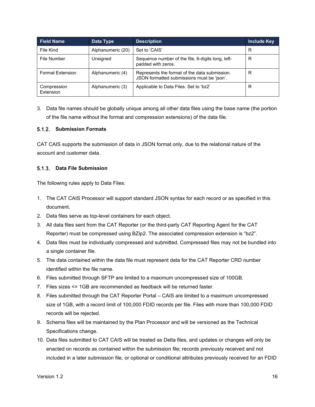| <b>Field Name</b>        | Data Type         | <b>Description</b>                                                                          | <b>Include Key</b> |
|--------------------------|-------------------|---------------------------------------------------------------------------------------------|--------------------|
| File Kind                | Alphanumeric (20) | Set to 'CAIS'                                                                               | R                  |
| File Number              | Unsigned          | Sequence number of the file, 6-digits long, left-<br>padded with zeros.                     | R                  |
| <b>Format Extension</b>  | Alphanumeric (4)  | Represents the format of the data submission.<br>JSON formatted submissions must be 'json'. | R                  |
| Compression<br>Extension | Alphanumeric (3)  | Applicable to Data Files. Set to 'bz2'                                                      | R                  |

3. Data file names should be globally unique among all other data files using the base name (the portion of the file name without the format and compression extensions) of the data file.

#### <span id="page-21-0"></span>**Submission Formats**

CAT CAIS supports the submission of data in JSON format only, due to the relational nature of the account and customer data.

#### <span id="page-21-1"></span>**Data File Submission**

The following rules apply to Data Files:

- 1. The CAT CAIS Processor will support standard JSON syntax for each record or as specified in this document.
- 2. Data files serve as top-level containers for each object.
- 3. All data files sent from the CAT Reporter (or the third-party CAT Reporting Agent for the CAT Reporter) must be compressed using BZip2. The associated compression extension is "bz2".
- 4. Data files must be individually compressed and submitted. Compressed files may not be bundled into a single container file.
- 5. The data contained within the data file must represent data for the CAT Reporter CRD number identified within the file name.
- 6. Files submitted through SFTP are limited to a maximum uncompressed size of 100GB.
- 7. Files sizes <= 1GB are recommended as feedback will be returned faster.
- 8. Files submitted through the CAT Reporter Portal CAIS are limited to a maximum uncompressed size of 1GB, with a record limit of 100,000 FDID records per file. Files with more than 100,000 FDID records will be rejected.
- 9. Schema files will be maintained by the Plan Processor and will be versioned as the Technical Specifications change.
- 10. Data files submitted to CAT CAIS will be treated as Delta files, and updates or changes will only be enacted on records as contained within the submission file; records previously received and not included in a later submission file, or optional or conditional attributes previously received for an FDID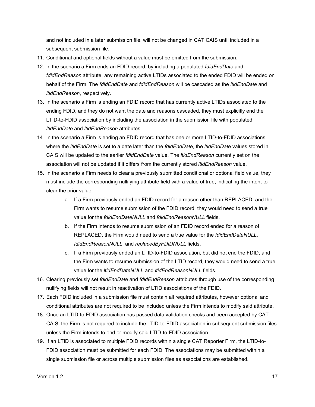and not included in a later submission file, will not be changed in CAT CAIS until included in a subsequent submission file.

- 11. Conditional and optional fields without a value must be omitted from the submission.
- 12. In the scenario a Firm ends an FDID record, by including a populated *fdidEndDate* and *fdidEndReason* attribute, any remaining active LTIDs associated to the ended FDID will be ended on behalf of the Firm. The *fdidEndDate* and *fdidEndReason* will be cascaded as the *ltidEndDate* and *ltidEndReason*, respectively.
- 13. In the scenario a Firm is ending an FDID record that has currently active LTIDs associated to the ending FDID, and they do not want the date and reasons cascaded, they must explicitly end the LTID-to-FDID association by including the association in the submission file with populated *ltidEndDate* and *ltidEndReason* attributes.
- 14. In the scenario a Firm is ending an FDID record that has one or more LTID-to-FDID associations where the *ltidEndDate* is set to a date later than the *fdidEndDate*, the *ltidEndDate* values stored in CAIS will be updated to the earlier *fdidEndDate* value. The *ltidEndReason* currently set on the association will not be updated if it differs from the currently stored *ltidEndReason* value.
- 15. In the scenario a Firm needs to clear a previously submitted conditional or optional field value, they must include the corresponding nullifying attribute field with a value of true, indicating the intent to clear the prior value.
	- a. If a Firm previously ended an FDID record for a reason other than REPLACED, and the Firm wants to resume submission of the FDID record, they would need to send a true value for the *fdidEndDateNULL* and *fdidEndReasonNULL* fields.
	- b. If the Firm intends to resume submission of an FDID record ended for a reason of REPLACED, the Firm would need to send a true value for the *fdidEndDateNULL*, *fdidEndReasonNULL*, and *replacedByFDIDNULL* fields.
	- c. If a Firm previously ended an LTID-to-FDID association, but did not end the FDID, and the Firm wants to resume submission of the LTID record, they would need to send a true value for the *ltidEndDateNULL* and *ltidEndReasonNULL* fields.
- 16. Clearing previously set *fdidEndDate* and *fdidEndReason* attributes through use of the corresponding nullifying fields will not result in reactivation of LTID associations of the FDID.
- 17. Each FDID included in a submission file must contain all required attributes, however optional and conditional attributes are not required to be included unless the Firm intends to modify said attribute.
- 18. Once an LTID-to-FDID association has passed data validation checks and been accepted by CAT CAIS, the Firm is not required to include the LTID-to-FDID association in subsequent submission files unless the Firm intends to end or modify said LTID-to-FDID association.
- 19. If an LTID is associated to multiple FDID records within a single CAT Reporter Firm, the LTID-to-FDID association must be submitted for each FDID. The associations may be submitted within a single submission file or across multiple submission files as associations are established.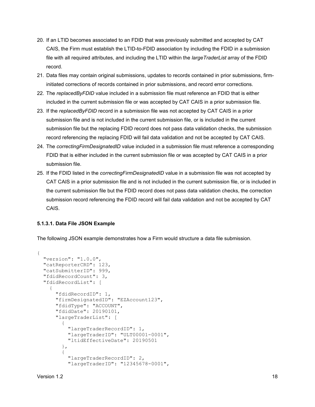- 20. If an LTID becomes associated to an FDID that was previously submitted and accepted by CAT CAIS, the Firm must establish the LTID-to-FDID association by including the FDID in a submission file with all required attributes, and including the LTID within the *largeTraderList* array of the FDID record.
- 21. Data files may contain original submissions, updates to records contained in prior submissions, firminitiated corrections of records contained in prior submissions, and record error corrections.
- 22. The *replacedByFDID* value included in a submission file must reference an FDID that is either included in the current submission file or was accepted by CAT CAIS in a prior submission file.
- 23. If the *replacedByFDID* record in a submission file was not accepted by CAT CAIS in a prior submission file and is not included in the current submission file, or is included in the current submission file but the replacing FDID record does not pass data validation checks, the submission record referencing the replacing FDID will fail data validation and not be accepted by CAT CAIS.
- 24. The *correctingFirmDesignatedID* value included in a submission file must reference a corresponding FDID that is either included in the current submission file or was accepted by CAT CAIS in a prior submission file.
- 25. If the FDID listed in the *correctingFirmDesignatedID* value in a submission file was not accepted by CAT CAIS in a prior submission file and is not included in the current submission file, or is included in the current submission file but the FDID record does not pass data validation checks, the correction submission record referencing the FDID record will fail data validation and not be accepted by CAT CAIS.

#### **5.1.3.1. Data File JSON Example**

The following JSON example demonstrates how a Firm would structure a data file submission.

```
{
   "version": "1.0.0",
   "catReporterCRD": 123,
   "catSubmitterID": 999,
   "fdidRecordCount": 3,
   "fdidRecordList": [
\left\{\begin{array}{c} \end{array}\right\} "fdidRecordID": 1, 
       "firmDesignatedID": "EZAccount123",
       "fdidType": "ACCOUNT",
       "fdidDate": 20190101,
       "largeTraderList": [
\{ "largeTraderRecordID": 1,
            "largeTraderID": "ULT00001-0001",
            "ltidEffectiveDate": 20190501
          },
\{ "largeTraderRecordID": 2,
            "largeTraderID": "12345678-0001",
```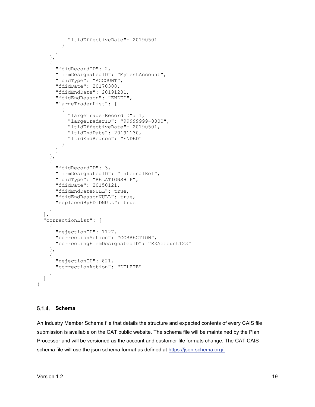```
 "ltidEffectiveDate": 20190501
 }
       ]
     },
     {
       "fdidRecordID": 2,
      "firmDesignatedID": "MyTestAccount",
       "fdidType": "ACCOUNT",
       "fdidDate": 20170308,
       "fdidEndDate": 20191201,
       "fdidEndReason": "ENDED",
       "largeTraderList": [
\{ "largeTraderRecordID": 1,
           "largeTraderID": "99999999-0000",
           "ltidEffectiveDate": 20190501,
           "ltidEndDate": 20191130,
           "ltidEndReason": "ENDED"
 }
       ]
     },
     {
       "fdidRecordID": 3,
      "firmDesignatedID": "InternalRel",
      "fdidType": "RELATIONSHIP",
      "fdidDate": 20150121,
      "fdidEndDateNULL": true,
       "fdidEndReasonNULL": true,
       "replacedByFDIDNULL": true
     }
  ],
  "correctionList": [
     {
       "rejectionID": 1127,
       "correctionAction": "CORRECTION",
       "correctingFirmDesignatedID": "EZAccount123"
    },
     {
       "rejectionID": 821,
       "correctionAction": "DELETE"
     }
  ]
```
#### <span id="page-24-0"></span>**Schema**

}

An Industry Member Schema file that details the structure and expected contents of every CAIS file submission is available on the CAT public website. The schema file will be maintained by the Plan Processor and will be versioned as the account and customer file formats change. The CAT CAIS schema file will use the json schema format as defined at [https://json-schema.org/.](https://json-schema.org/)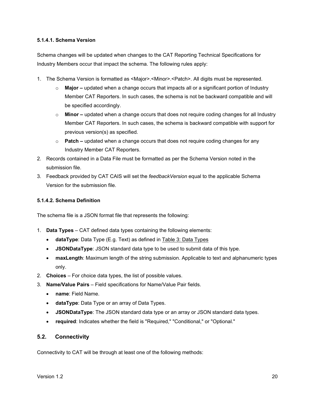#### **5.1.4.1. Schema Version**

Schema changes will be updated when changes to the CAT Reporting Technical Specifications for Industry Members occur that impact the schema. The following rules apply:

- 1. The Schema Version is formatted as <Major>.<Minor>.<Patch>. All digits must be represented.
	- o **Major –** updated when a change occurs that impacts all or a significant portion of Industry Member CAT Reporters. In such cases, the schema is not be backward compatible and will be specified accordingly.
	- o **Minor –** updated when a change occurs that does not require coding changes for all Industry Member CAT Reporters. In such cases, the schema is backward compatible with support for previous version(s) as specified.
	- o **Patch –** updated when a change occurs that does not require coding changes for any Industry Member CAT Reporters.
- 2. Records contained in a Data File must be formatted as per the Schema Version noted in the submission file.
- 3. Feedback provided by CAT CAIS will set the *feedbackVersion* equal to the applicable Schema Version for the submission file.

#### **5.1.4.2. Schema Definition**

The schema file is a JSON format file that represents the following:

- 1. **Data Types** CAT defined data types containing the following elements:
	- **dataType**: Data Type (E.g. Text) as defined in [Table 3: Data Types](#page-10-1)
	- **JSONDataType**: JSON standard data type to be used to submit data of this type.
	- **maxLength**: Maximum length of the string submission. Applicable to text and alphanumeric types only.
- 2. **Choices** For choice data types, the list of possible values.
- 3. **Name/Value Pairs**  Field specifications for Name/Value Pair fields.
	- **name**: Field Name.
	- **dataType**: Data Type or an array of Data Types.
	- **JSONDataType**: The JSON standard data type or an array or JSON standard data types.
	- **required**: Indicates whether the field is "Required," "Conditional," or "Optional."

#### <span id="page-25-0"></span>**5.2. Connectivity**

Connectivity to CAT will be through at least one of the following methods: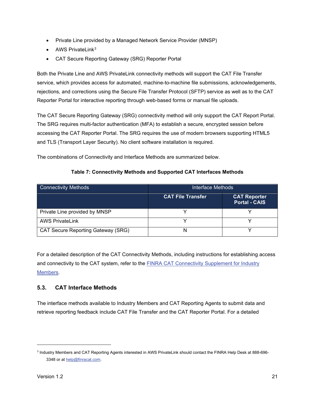- Private Line provided by a Managed Network Service Provider (MNSP)
- $\bullet$  AWS PrivateLink<sup>[3](#page-26-1)</sup>
- CAT Secure Reporting Gateway (SRG) Reporter Portal

Both the Private Line and AWS PrivateLink connectivity methods will support the CAT File Transfer service, which provides access for automated, machine-to-machine file submissions, acknowledgements, rejections, and corrections using the Secure File Transfer Protocol (SFTP) service as well as to the CAT Reporter Portal for interactive reporting through web-based forms or manual file uploads.

The CAT Secure Reporting Gateway (SRG) connectivity method will only support the CAT Report Portal. The SRG requires multi-factor authentication (MFA) to establish a secure, encrypted session before accessing the CAT Reporter Portal. The SRG requires the use of modern browsers supporting HTML5 and TLS (Transport Layer Security). No client software installation is required.

The combinations of Connectivity and Interface Methods are summarized below.

| <b>Connectivity Methods</b>               | Interface Methods        |                                             |  |  |
|-------------------------------------------|--------------------------|---------------------------------------------|--|--|
|                                           | <b>CAT File Transfer</b> | <b>CAT Reporter</b><br><b>Portal - CAIS</b> |  |  |
| Private Line provided by MNSP             |                          |                                             |  |  |
| <b>AWS PrivateLink</b>                    |                          |                                             |  |  |
| <b>CAT Secure Reporting Gateway (SRG)</b> | N                        |                                             |  |  |

#### **Table 7: Connectivity Methods and Supported CAT Interfaces Methods**

For a detailed description of the CAT Connectivity Methods, including instructions for establishing access and connectivity to the CAT system, refer to the [FINRA CAT Connectivity Supplement for Industry](https://www.catnmsplan.com/transaction-registration)  [Members.](https://www.catnmsplan.com/transaction-registration)

# <span id="page-26-0"></span>**5.3. CAT Interface Methods**

The interface methods available to Industry Members and CAT Reporting Agents to submit data and retrieve reporting feedback include CAT File Transfer and the CAT Reporter Portal. For a detailed

<span id="page-26-1"></span><sup>3</sup> Industry Members and CAT Reporting Agents interested in AWS PrivateLink should contact the FINRA Help Desk at 888-696 3348 or a[t help@finracat.com.](mailto:help@finracat.com)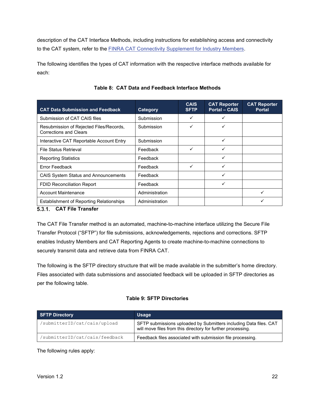description of the CAT Interface Methods, including instructions for establishing access and connectivity to the CAT system, refer to the **FINRA CAT Connectivity Supplement for Industry Members**.

The following identifies the types of CAT information with the respective interface methods available for each:

<span id="page-27-1"></span>

| <b>CAT Data Submission and Feedback</b>                                  | Category       | <b>CAIS</b><br><b>SFTP</b> | <b>CAT Reporter</b><br><b>Portal - CAIS</b> | <b>CAT Reporter</b><br><b>Portal</b> |
|--------------------------------------------------------------------------|----------------|----------------------------|---------------------------------------------|--------------------------------------|
| Submission of CAT CAIS files                                             | Submission     | ✓                          | ✓                                           |                                      |
| Resubmission of Rejected Files/Records,<br><b>Corrections and Clears</b> | Submission     | ✓                          | ✓                                           |                                      |
| Interactive CAT Reportable Account Entry                                 | Submission     |                            | ✓                                           |                                      |
| <b>File Status Retrieval</b>                                             | Feedback       | ✓                          | ✓                                           |                                      |
| <b>Reporting Statistics</b>                                              | Feedback       |                            | ✓                                           |                                      |
| Error Feedback                                                           | Feedback       | ✓                          | ✓                                           |                                      |
| <b>CAIS System Status and Announcements</b>                              | Feedback       |                            | ✓                                           |                                      |
| <b>FDID Reconciliation Report</b>                                        | Feedback       |                            | ✓                                           |                                      |
| <b>Account Maintenance</b>                                               | Administration |                            |                                             | ✓                                    |
| <b>Establishment of Reporting Relationships</b>                          | Administration |                            |                                             |                                      |

#### **Table 8: CAT Data and Feedback Interface Methods**

#### <span id="page-27-0"></span>**CAT File Transfer**

The CAT File Transfer method is an automated, machine-to-machine interface utilizing the Secure File Transfer Protocol ("SFTP") for file submissions, acknowledgements, rejections and corrections. SFTP enables Industry Members and CAT Reporting Agents to create machine-to-machine connections to securely transmit data and retrieve data from FINRA CAT.

The following is the SFTP directory structure that will be made available in the submitter's home directory. Files associated with data submissions and associated feedback will be uploaded in SFTP directories as per the following table.

#### **Table 9: SFTP Directories**

| <b>SFTP Directory</b>          | <b>Usage</b>                                                                                                                     |
|--------------------------------|----------------------------------------------------------------------------------------------------------------------------------|
| /submitterID/cat/cais/upload   | SFTP submissions uploaded by Submitters including Data files. CAT<br>will move files from this directory for further processing. |
| /submitterID/cat/cais/feedback | Feedback files associated with submission file processing.                                                                       |

The following rules apply: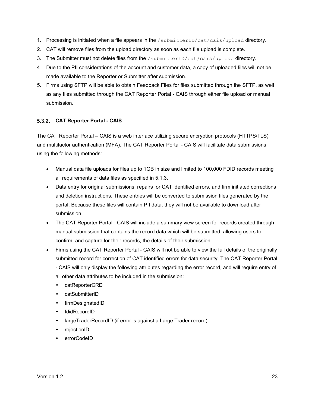- 1. Processing is initiated when a file appears in the /submitterID/cat/cais/upload directory.
- 2. CAT will remove files from the upload directory as soon as each file upload is complete.
- 3. The Submitter must not delete files from the /submitterID/cat/cais/upload directory.
- 4. Due to the PII considerations of the account and customer data, a copy of uploaded files will not be made available to the Reporter or Submitter after submission.
- 5. Firms using SFTP will be able to obtain Feedback Files for files submitted through the SFTP, as well as any files submitted through the CAT Reporter Portal - CAIS through either file upload or manual submission.

#### <span id="page-28-0"></span>**CAT Reporter Portal - CAIS**

The CAT Reporter Portal – CAIS is a web interface utilizing secure encryption protocols (HTTPS/TLS) and multifactor authentication (MFA). The CAT Reporter Portal - CAIS will facilitate data submissions using the following methods:

- Manual data file uploads for files up to 1GB in size and limited to 100,000 FDID records meeting all requirements of data files as specified in [5.1.3.](#page-21-1)
- Data entry for original submissions, repairs for CAT identified errors, and firm initiated corrections and deletion instructions. These entries will be converted to submission files generated by the portal. Because these files will contain PII data, they will not be available to download after submission.
- The CAT Reporter Portal CAIS will include a summary view screen for records created through manual submission that contains the record data which will be submitted, allowing users to confirm, and capture for their records, the details of their submission.
- Firms using the CAT Reporter Portal CAIS will not be able to view the full details of the originally submitted record for correction of CAT identified errors for data security. The CAT Reporter Portal - CAIS will only display the following attributes regarding the error record, and will require entry of all other data attributes to be included in the submission:
	- catReporterCRD
	- catSubmitterID
	- **+** firmDesignatedID
	- fdidRecordID
	- largeTraderRecordID (if error is against a Large Trader record)
	- ◆ rejectionID
	- errorCodeID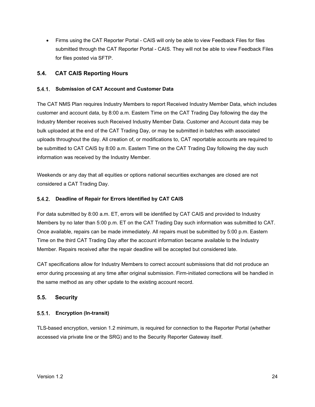• Firms using the CAT Reporter Portal - CAIS will only be able to view Feedback Files for files submitted through the CAT Reporter Portal - CAIS. They will not be able to view Feedback Files for files posted via SFTP.

#### <span id="page-29-0"></span>**5.4. CAT CAIS Reporting Hours**

#### <span id="page-29-1"></span>**Submission of CAT Account and Customer Data**

The CAT NMS Plan requires Industry Members to report Received Industry Member Data, which includes customer and account data, by 8:00 a.m. Eastern Time on the CAT Trading Day following the day the Industry Member receives such Received Industry Member Data. Customer and Account data may be bulk uploaded at the end of the CAT Trading Day, or may be submitted in batches with associated uploads throughout the day. All creation of, or modifications to, CAT reportable accounts are required to be submitted to CAT CAIS by 8:00 a.m. Eastern Time on the CAT Trading Day following the day such information was received by the Industry Member.

Weekends or any day that all equities or options national securities exchanges are closed are not considered a CAT Trading Day.

#### <span id="page-29-2"></span>**Deadline of Repair for Errors Identified by CAT CAIS**

For data submitted by 8:00 a.m. ET, errors will be identified by CAT CAIS and provided to Industry Members by no later than 5:00 p.m. ET on the CAT Trading Day such information was submitted to CAT. Once available, repairs can be made immediately. All repairs must be submitted by 5:00 p.m. Eastern Time on the third CAT Trading Day after the account information became available to the Industry Member. Repairs received after the repair deadline will be accepted but considered late.

CAT specifications allow for Industry Members to correct account submissions that did not produce an error during processing at any time after original submission. Firm-initiated corrections will be handled in the same method as any other update to the existing account record.

#### <span id="page-29-3"></span>**5.5. Security**

#### <span id="page-29-4"></span>**Encryption (In-transit)**

TLS-based encryption, version 1.2 minimum, is required for connection to the Reporter Portal (whether accessed via private line or the SRG) and to the Security Reporter Gateway itself.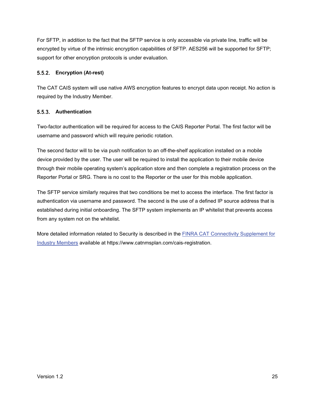For SFTP, in addition to the fact that the SFTP service is only accessible via private line, traffic will be encrypted by virtue of the intrinsic encryption capabilities of SFTP. AES256 will be supported for SFTP; support for other encryption protocols is under evaluation.

#### <span id="page-30-0"></span>**Encryption (At-rest)**

The CAT CAIS system will use native AWS encryption features to encrypt data upon receipt. No action is required by the Industry Member.

#### <span id="page-30-1"></span>**Authentication**

Two-factor authentication will be required for access to the CAIS Reporter Portal. The first factor will be username and password which will require periodic rotation.

The second factor will to be via push notification to an off-the-shelf application installed on a mobile device provided by the user. The user will be required to install the application to their mobile device through their mobile operating system's application store and then complete a registration process on the Reporter Portal or SRG. There is no cost to the Reporter or the user for this mobile application.

The SFTP service similarly requires that two conditions be met to access the interface. The first factor is authentication via username and password. The second is the use of a defined IP source address that is established during initial onboarding. The SFTP system implements an IP whitelist that prevents access from any system not on the whitelist.

More detailed information related to Security is described in the **FINRA CAT Connectivity Supplement for** [Industry Members](https://www.catnmsplan.com/transaction-registration) available at https://www.catnmsplan.com/cais-registration.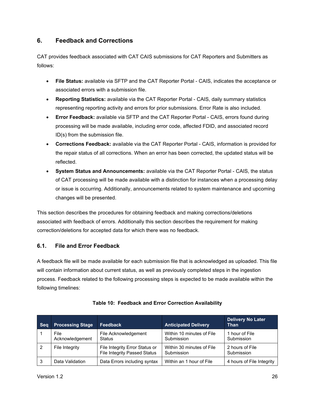# <span id="page-31-0"></span>**6. Feedback and Corrections**

CAT provides feedback associated with CAT CAIS submissions for CAT Reporters and Submitters as follows:

- **File Status:** available via SFTP and the CAT Reporter Portal CAIS, indicates the acceptance or associated errors with a submission file.
- **Reporting Statistics:** available via the CAT Reporter Portal CAIS, daily summary statistics representing reporting activity and errors for prior submissions. Error Rate is also included.
- **Error Feedback:** available via SFTP and the CAT Reporter Portal CAIS, errors found during processing will be made available, including error code, affected FDID, and associated record ID(s) from the submission file.
- **Corrections Feedback:** available via the CAT Reporter Portal CAIS, information is provided for the repair status of all corrections. When an error has been corrected, the updated status will be reflected.
- **System Status and Announcements:** available via the CAT Reporter Portal CAIS, the status of CAT processing will be made available with a distinction for instances when a processing delay or issue is occurring. Additionally, announcements related to system maintenance and upcoming changes will be presented.

This section describes the procedures for obtaining feedback and making corrections/deletions associated with feedback of errors. Additionally this section describes the requirement for making correction/deletions for accepted data for which there was no feedback.

# <span id="page-31-1"></span>**6.1. File and Error Feedback**

A feedback file will be made available for each submission file that is acknowledged as uploaded. This file will contain information about current status, as well as previously completed steps in the ingestion process. Feedback related to the following processing steps is expected to be made available within the following timelines:

| <b>Seq</b> | <b>Processing Stage</b> | <b>Feedback</b>                                                       | <b>Anticipated Delivery</b>             | <b>Delivery No Later</b><br>Than |
|------------|-------------------------|-----------------------------------------------------------------------|-----------------------------------------|----------------------------------|
|            | File<br>Acknowledgement | File Acknowledgement<br>Status                                        | Within 10 minutes of File<br>Submission | 1 hour of File<br>Submission     |
| -2         | File Integrity          | File Integrity Error Status or<br><b>File Integrity Passed Status</b> | Within 30 minutes of File<br>Submission | 2 hours of File<br>Submission    |
| -3         | Data Validation         | Data Errors including syntax                                          | Within an 1 hour of File                | 4 hours of File Integrity        |

|  |  | Table 10: Feedback and Error Correction Availability |  |
|--|--|------------------------------------------------------|--|
|--|--|------------------------------------------------------|--|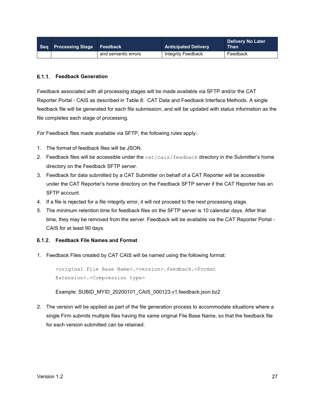| Seq Processing Stage Feedback |                     | <b>Anticipated Delivery</b> | <b>Delivery No Later</b><br><b>Than</b> |
|-------------------------------|---------------------|-----------------------------|-----------------------------------------|
|                               | and semantic errors | Integrity Feedback          | Feedback                                |

#### <span id="page-32-0"></span>**Feedback Generation**

Feedback associated with all processing stages will be made available via SFTP and/or the CAT Reporter Portal - CAIS as described in [Table 8: CAT Data and Feedback Interface](#page-27-1) Methods. A single feedback file will be generated for each file submission, and will be updated with status information as the file completes each stage of processing.

For Feedback files made available via SFTP, the following rules apply:

- 1. The format of feedback files will be JSON.
- 2. Feedback files will be accessible under the cat/cais/feedback directory in the Submitter's home directory on the Feedback SFTP server.
- 3. Feedback for data submitted by a CAT Submitter on behalf of a CAT Reporter will be accessible under the CAT Reporter's home directory on the Feedback SFTP server if the CAT Reporter has an SFTP account.
- 4. If a file is rejected for a file integrity error, it will not proceed to the next processing stage.
- 5. The minimum retention time for feedback files on the SFTP server is 10 calendar days. After that time, they may be removed from the server. Feedback will be available via the CAT Reporter Portal - CAIS for at least 90 days.

#### <span id="page-32-1"></span>**Feedback File Names and Format**

1. Feedback Files created by CAT CAIS will be named using the following format:

<original File Base Name>.<version>.feedback.<Format Extension>.<Compression type>

Example: SUBID\_MYID\_20200101\_CAIS\_000123.v1.feedback.json.bz2

2. The version will be applied as part of the file generation process to accommodate situations where a single Firm submits multiple files having the same original File Base Name, so that the feedback file for each version submitted can be retained.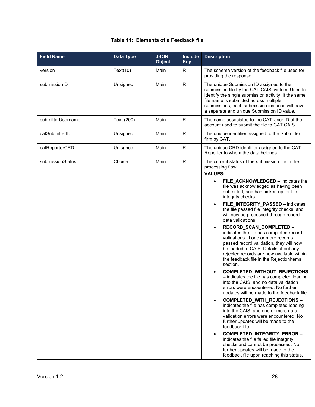#### **Table 11: Elements of a Feedback file**

| <b>Field Name</b> | Data Type  | <b>JSON</b><br><b>Object</b> | <b>Include</b><br><b>Key</b> | <b>Description</b>                                                                                                                                                                                                                                                                                                                                                                                                                                                                                                                                                                                                                                                                                                                                                                                                                                                                                                                                                                                                                                                                                                                                                                                                                                                                                                                                                             |
|-------------------|------------|------------------------------|------------------------------|--------------------------------------------------------------------------------------------------------------------------------------------------------------------------------------------------------------------------------------------------------------------------------------------------------------------------------------------------------------------------------------------------------------------------------------------------------------------------------------------------------------------------------------------------------------------------------------------------------------------------------------------------------------------------------------------------------------------------------------------------------------------------------------------------------------------------------------------------------------------------------------------------------------------------------------------------------------------------------------------------------------------------------------------------------------------------------------------------------------------------------------------------------------------------------------------------------------------------------------------------------------------------------------------------------------------------------------------------------------------------------|
| version           | Text(10)   | Main                         | R.                           | The schema version of the feedback file used for<br>providing the response.                                                                                                                                                                                                                                                                                                                                                                                                                                                                                                                                                                                                                                                                                                                                                                                                                                                                                                                                                                                                                                                                                                                                                                                                                                                                                                    |
| submissionID      | Unsigned   | Main                         | $\mathsf{R}$                 | The unique Submission ID assigned to the<br>submission file by the CAT CAIS system. Used to<br>identify the single submission activity. If the same<br>file name is submitted across multiple<br>submissions, each submission instance will have<br>a separate and unique Submission ID value.                                                                                                                                                                                                                                                                                                                                                                                                                                                                                                                                                                                                                                                                                                                                                                                                                                                                                                                                                                                                                                                                                 |
| submitterUsername | Text (200) | Main                         | R.                           | The name associated to the CAT User ID of the<br>account used to submit the file to CAT CAIS.                                                                                                                                                                                                                                                                                                                                                                                                                                                                                                                                                                                                                                                                                                                                                                                                                                                                                                                                                                                                                                                                                                                                                                                                                                                                                  |
| catSubmitterID    | Unsigned   | Main                         | $\mathsf{R}$                 | The unique identifier assigned to the Submitter<br>firm by CAT.                                                                                                                                                                                                                                                                                                                                                                                                                                                                                                                                                                                                                                                                                                                                                                                                                                                                                                                                                                                                                                                                                                                                                                                                                                                                                                                |
| catReporterCRD    | Unisgned   | Main                         | R                            | The unique CRD identifier assigned to the CAT<br>Reporter to whom the data belongs.                                                                                                                                                                                                                                                                                                                                                                                                                                                                                                                                                                                                                                                                                                                                                                                                                                                                                                                                                                                                                                                                                                                                                                                                                                                                                            |
| submissionStatus  | Choice     | Main                         | $\mathsf{R}$                 | The current status of the submission file in the<br>processing flow.<br><b>VALUES:</b><br>FILE ACKNOWLEDGED - indicates the<br>file was acknowledged as having been<br>submitted, and has picked up for file<br>integrity checks.<br>FILE_INTEGRITY_PASSED - indicates<br>$\bullet$<br>the file passed file integrity checks, and<br>will now be processed through record<br>data validations.<br>RECORD_SCAN_COMPLETED -<br>$\bullet$<br>indicates the file has completed record<br>validations. If one or more records<br>passed record validation, they will now<br>be loaded to CAIS. Details about any<br>rejected records are now available within<br>the feedback file in the RejectionItems<br>section.<br>COMPLETED_WITHOUT_REJECTIONS<br>- indicates the file has completed loading<br>into the CAIS, and no data validation<br>errors were encountered. No further<br>updates will be made to the feedback file.<br>COMPLETED_WITH_REJECTIONS -<br>$\bullet$<br>indicates the file has completed loading<br>into the CAIS, and one or more data<br>validation errors were encountered. No<br>further updates will be made to the<br>feedback file.<br>COMPLETED_INTEGRITY_ERROR -<br>$\bullet$<br>indicates the file failed file integrity<br>checks and cannot be processed. No<br>further updates will be made to the<br>feedback file upon reaching this status. |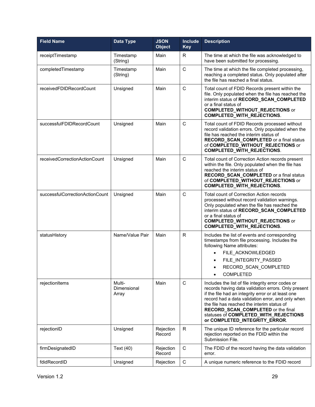| <b>Field Name</b>               | Data Type                      | <b>JSON</b><br><b>Object</b> | <b>Include</b><br><b>Key</b> | <b>Description</b>                                                                                                                                                                                                                                                                                                                                                                 |
|---------------------------------|--------------------------------|------------------------------|------------------------------|------------------------------------------------------------------------------------------------------------------------------------------------------------------------------------------------------------------------------------------------------------------------------------------------------------------------------------------------------------------------------------|
| receiptTimestamp                | Timestamp<br>(String)          | Main                         | R                            | The time at which the file was acknowledged to<br>have been submitted for processing.                                                                                                                                                                                                                                                                                              |
| completedTimestamp              | Timestamp<br>(String)          | Main                         | $\mathsf C$                  | The time at which the file completed processing,<br>reaching a completed status. Only populated after<br>the file has reached a final status.                                                                                                                                                                                                                                      |
| receivedFDIDRecordCount         | Unsigned                       | Main                         | $\mathsf{C}$                 | Total count of FDID Records present within the<br>file. Only populated when the file has reached the<br>interim status of RECORD_SCAN_COMPLETED<br>or a final status of<br><b>COMPLETED_WITHOUT_REJECTIONS</b> or<br>COMPLETED_WITH_REJECTIONS.                                                                                                                                    |
| successfulFDIDRecordCount       | Unsigned                       | Main                         | C                            | Total count of FDID Records processed without<br>record validation errors. Only populated when the<br>file has reached the interim status of<br>RECORD_SCAN_COMPLETED or a final status<br>of COMPLETED_WITHOUT_REJECTIONS or<br><b>COMPLETED_WITH_REJECTIONS.</b>                                                                                                                 |
| receivedCorrectionActionCount   | Unsigned                       | Main                         | C                            | Total count of Correction Action records present<br>within the file. Only populated when the file has<br>reached the interim status of<br>RECORD_SCAN_COMPLETED or a final status<br>of COMPLETED_WITHOUT_REJECTIONS or<br><b>COMPLETED_WITH_REJECTIONS.</b>                                                                                                                       |
| successfulCorrectionActionCount | Unsigned                       | Main                         | C                            | Total count of Correction Action records<br>processed without record validation warnings.<br>Only populated when the file has reached the<br>interim status of RECORD_SCAN_COMPLETED<br>or a final status of<br><b>COMPLETED_WITHOUT_REJECTIONS</b> or<br><b>COMPLETED_WITH_REJECTIONS.</b>                                                                                        |
| statusHistory                   | Name/Value Pair                | Main                         | R.                           | Includes the list of events and corresponding<br>timestamps from file processing. Includes the<br>following Name attributes:<br>FILE ACKNOWLEDGED<br>FILE_INTEGRITY_PASSED<br>RECORD_SCAN_COMPLETED<br><b>COMPLETED</b>                                                                                                                                                            |
| rejectionItems                  | Multi-<br>Dimensional<br>Array | Main                         | $\mathsf{C}$                 | Includes the list of file integrity error codes or<br>records having data validation errors. Only present<br>if the file had an integrity error or at least one<br>record had a data validation error, and only when<br>the file has reached the interim status of<br>RECORD_SCAN_COMPLETED or the final<br>statuses of COMPLETED_WITH_REJECTIONS<br>or COMPLETED_INTEGRITY_ERROR. |
| rejectionID                     | Unsigned                       | Rejection<br>Record          | R                            | The unique ID reference for the particular record<br>rejection reported on the FDID within the<br>Submission File.                                                                                                                                                                                                                                                                 |
| firmDesignatedID                | Text (40)                      | Rejection<br>Record          | $\mathsf C$                  | The FDID of the record having the data validation<br>error.                                                                                                                                                                                                                                                                                                                        |
| fdidRecordID                    | Unsigned                       | Rejection                    | $\mathsf C$                  | A unique numeric reference to the FDID record                                                                                                                                                                                                                                                                                                                                      |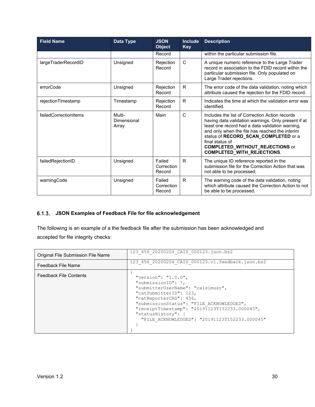| <b>Field Name</b>     | Data Type                      | <b>JSON</b><br><b>Object</b>   | <b>Include</b><br><b>Key</b> | <b>Description</b>                                                                                                                                                                                                                                                                                                                                   |
|-----------------------|--------------------------------|--------------------------------|------------------------------|------------------------------------------------------------------------------------------------------------------------------------------------------------------------------------------------------------------------------------------------------------------------------------------------------------------------------------------------------|
|                       |                                | Record                         |                              | within the particular submission file.                                                                                                                                                                                                                                                                                                               |
| largeTraderRecordID   | Unsigned                       | Rejection<br>Record            | $\mathsf{C}$                 | A unique numeric reference to the Large Trader<br>record in association to the FDID record within the<br>particular submission file. Only populated on<br>Large Trader rejections.                                                                                                                                                                   |
| errorCode             | Unsigned                       | Rejection<br>Record            | R.                           | The error code of the data validation, noting which<br>attribute caused the rejection for the FDID record.                                                                                                                                                                                                                                           |
| rejectionTimestamp    | Timestamp                      | Rejection<br>Record            | R.                           | Indicates the time at which the validation error was<br>identified.                                                                                                                                                                                                                                                                                  |
| failedCorrectionItems | Multi-<br>Dimensional<br>Array | Main                           | $\mathsf{C}$                 | Includes the list of Correction Action records<br>having data validation warnings. Only present if at<br>least one record had a data validation warning,<br>and only when the file has reached the interim<br>status of RECORD_SCAN_COMPLETED or a<br>final status of<br><b>COMPLETED_WITHOUT_REJECTIONS</b> or<br><b>COMPLETED_WITH_REJECTIONS.</b> |
| failedRejectionID     | Unsigned                       | Failed<br>Correction<br>Record | R.                           | The unique ID reference reported in the<br>submission file for the Correction Action that was<br>not able to be processed.                                                                                                                                                                                                                           |
| warningCode           | Unsigned                       | Failed<br>Correction<br>Record | R.                           | The warning code of the data validation, noting<br>which attribute caused the Correction Action to not<br>be able to be processed.                                                                                                                                                                                                                   |

# <span id="page-35-0"></span>**JSON Examples of Feedback File for file acknowledgement**

The following is an example of a the feedback file after the submission has been acknowledged and accepted for file integrity checks:

| Original File Submission File Name | 123 456 20200204 CAIS 000123.json.bz2                                                                                                                                                                                                                                                                      |
|------------------------------------|------------------------------------------------------------------------------------------------------------------------------------------------------------------------------------------------------------------------------------------------------------------------------------------------------------|
| Feedback File Name                 | 123 456 20200204 CAIS 000123.v1.feedback.json.bz2                                                                                                                                                                                                                                                          |
| <b>Feedback File Contents</b>      | "version": " $1.0.0$ ",<br>"submissionID": 7,<br>"submitterUserName": "caisimusr",<br>"catSubmitterID": 123,<br>"catReporterCRD": 456,<br>"submissionStatus": "FILE ACKNOWLEDGED",<br>"receiptTimestamp": "20191123T152233.000045",<br>"statusHistory": {<br>"FILE ACKNOWLEDGED": "20191123T152233.000045" |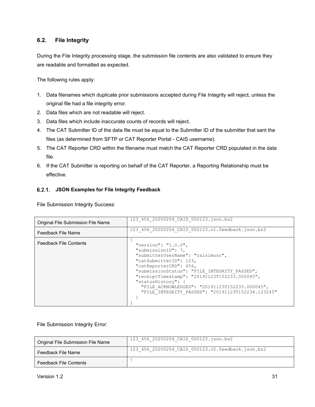#### <span id="page-36-0"></span>**6.2. File Integrity**

During the File Integrity processing stage, the submission file contents are also validated to ensure they are readable and formatted as expected.

The following rules apply:

- 1. Data filenames which duplicate prior submissions accepted during File Integrity will reject, unless the original file had a file integrity error.
- 2. Data files which are not readable will reject.
- 3. Data files which include inaccurate counts of records will reject.
- 4. The CAT Submitter ID of the data file must be equal to the Submitter ID of the submitter that sent the files (as determined from SFTP or CAT Reporter Portal - CAIS username).
- 5. The CAT Reporter CRD within the filename must match the CAT Reporter CRD populated in the data file.
- 6. If the CAT Submitter is reporting on behalf of the CAT Reporter, a Reporting Relationship must be effective.

#### <span id="page-36-1"></span>**JSON Examples for File Integrity Feedback**

File Submission Integrity Success:

| Original File Submission File Name | 123 456 20200204 CAIS 000123.json.bz2                                                                                                                                                                                                                                                                                                                                |
|------------------------------------|----------------------------------------------------------------------------------------------------------------------------------------------------------------------------------------------------------------------------------------------------------------------------------------------------------------------------------------------------------------------|
| Feedback File Name                 | 123 456 20200204 CAIS 000123.v1.feedback.json.bz2                                                                                                                                                                                                                                                                                                                    |
| <b>Feedback File Contents</b>      | "version": " $1.0.0$ ",<br>"submissionID": 7,<br>"submitterUserName": "caisimusr",<br>"catSubmitterID": 123,<br>"catReporterCRD": 456,<br>"submissionStatus": "FILE INTEGRITY PASSED",<br>"receiptTimestamp": "20191123T152233.000045",<br>"statusHistory": {<br>"FILE ACKNOWLEDGED": "20191123T152233.000045",<br>"FILE INTEGRITY PASSED": "20191123T152234.123245" |

File Submission Integrity Error:

| Original File Submission File Name | 123 456 20200204 CAIS 000123.json.bz2             |
|------------------------------------|---------------------------------------------------|
| Feedback File Name                 | 123 456 20200204 CAIS 000123.v2.feedback.json.bz2 |
| <b>Feedback File Contents</b>      |                                                   |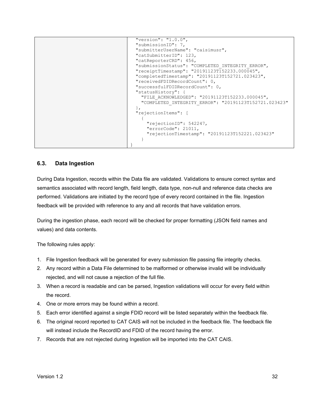```
 "version": "1.0.0",
  "submissionID": 7,
  "submitterUserName": "caisimusr",
  "catSubmitterID": 123,
  "catReporterCRD": 456,
  "submissionStatus": "COMPLETED_INTEGRITY_ERROR",
  "receiptTimestamp": "20191123T152233.000045",
  "completedTimestamp": "20191123T152721.023423",
  "receivedFDIDRecordCount": 0,
  "successfulFDIDRecordCount": 0,
  "statusHistory": {
    "FILE_ACKNOWLEDGED": "20191123T152233.000045",
    "COMPLETED_INTEGRITY_ERROR": "20191123T152721.023423"
  }, 
  "rejectionItems": [
    {
       "rejectionID": 542247,
      "errorCode": 21011,
      "rejectionTimestamp": "20191123T152221.023423"
    }
}
```
#### <span id="page-37-0"></span>**6.3. Data Ingestion**

During Data Ingestion, records within the Data file are validated. Validations to ensure correct syntax and semantics associated with record length, field length, data type, non-null and reference data checks are performed. Validations are initiated by the record type of every record contained in the file. Ingestion feedback will be provided with reference to any and all records that have validation errors.

During the ingestion phase, each record will be checked for proper formatting (JSON field names and values) and data contents.

The following rules apply:

- 1. File Ingestion feedback will be generated for every submission file passing file integrity checks.
- 2. Any record within a Data File determined to be malformed or otherwise invalid will be individually rejected, and will not cause a rejection of the full file.
- 3. When a record is readable and can be parsed, Ingestion validations will occur for every field within the record.
- 4. One or more errors may be found within a record.
- 5. Each error identified against a single FDID record will be listed separately within the feedback file.
- 6. The original record reported to CAT CAIS will not be included in the feedback file. The feedback file will instead include the RecordID and FDID of the record having the error.
- 7. Records that are not rejected during Ingestion will be imported into the CAT CAIS.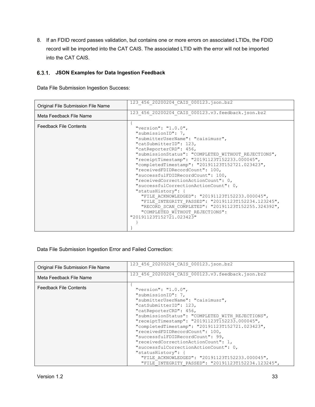8. If an FDID record passes validation, but contains one or more errors on associated LTIDs, the FDID record will be imported into the CAT CAIS. The associated LTID with the error will not be imported into the CAT CAIS.

#### <span id="page-38-0"></span>**JSON Examples for Data Ingestion Feedback**

Data File Submission Ingestion Success:

| Original File Submission File Name | 123 456 20200204 CAIS 000123.json.bz2                   |
|------------------------------------|---------------------------------------------------------|
| Meta Feedback File Name            | 123 456 20200204 CAIS 000123.v3.feedback.json.bz2       |
| <b>Feedback File Contents</b>      | "version": " $1.0.0$ ",                                 |
|                                    | "submissionID": 7,<br>"submitterUserName": "caisimusr", |
|                                    | "catSubmitterID": 123,                                  |
|                                    | "catReporterCRD": 456,                                  |
|                                    | "submissionStatus": "COMPLETED WITHOUT REJECTIONS",     |
|                                    | "receiptTimestamp": "20191123T152233.000045",           |
|                                    | "completedTimestamp": "20191123T152721.023423",         |
|                                    | "receivedFDIDRecordCount": 100,                         |
|                                    | "successfulFDIDRecordCount": 100,                       |
|                                    | "receivedCorrectionActionCount": 0,                     |
|                                    | "successfulCorrectionActionCount": 0,                   |
|                                    | "statusHistory": {                                      |
|                                    | "FILE ACKNOWLEDGED": "20191123T152233.000045",          |
|                                    | "FILE INTEGRITY PASSED": "20191123T152234.123245",      |
|                                    | "RECORD SCAN COMPLETED": "20191123T152255.324392",      |
|                                    | "COMPLETED WITHOUT REJECTIONS":                         |
|                                    | "20191123T152721.023423"                                |
|                                    |                                                         |
|                                    |                                                         |

Data File Submission Ingestion Error and Failed Correction:

| Original File Submission File Name | 123 456 20200204 CAIS 000123.json.bz2                                                                                                                                                                                                                                                                                                                                                                                                                                                                                                                                               |
|------------------------------------|-------------------------------------------------------------------------------------------------------------------------------------------------------------------------------------------------------------------------------------------------------------------------------------------------------------------------------------------------------------------------------------------------------------------------------------------------------------------------------------------------------------------------------------------------------------------------------------|
| Meta Feedback File Name            | 123 456 20200204 CAIS 000123.v3.feedback.json.bz2                                                                                                                                                                                                                                                                                                                                                                                                                                                                                                                                   |
| <b>Feedback File Contents</b>      | "version": " $1.0.0$ ",<br>"submissionID": 7,<br>"submitterUserName": "caisimusr",<br>"catSubmitterID": 123,<br>"catReporterCRD": 456,<br>"submissionStatus": "COMPLETED WITH REJECTIONS",<br>"receiptTimestamp": "20191123T152233.000045",<br>"completedTimestamp": "20191123T152721.023423",<br>"receivedFDIDRecordCount": 100,<br>"successfulFDIDRecordCount": 99,<br>"receivedCorrectionActionCount": 1,<br>"successfulCorrectionActionCount": 0,<br>"statusHistory": {<br>"FILE ACKNOWLEDGED": "20191123T152233.000045",<br>"FILE INTEGRITY PASSED": "20191123T152234.123245", |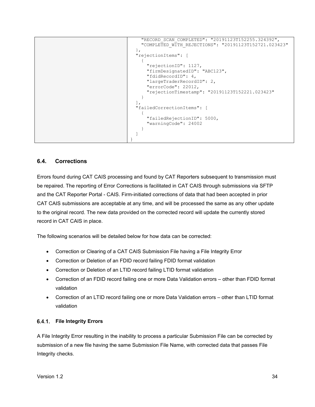```
 "RECORD_SCAN_COMPLETED": "20191123T152255.324392",
     "COMPLETED_WITH_REJECTIONS": "20191123T152721.023423"
  }, 
  "rejectionItems": [
    {
       "rejectionID": 1127,
       "firmDesignatedID": "ABC123",
       "fdidRecordID": 4,
       "largeTraderRecordID": 2,
       "errorCode": 22012,
       "rejectionTimestamp": "20191123T152221.023423"
     }
 \frac{1}{2},
  "failedCorrectionItems": [
   \{ "failedRejectionID": 5000,
       "warningCode": 24002
     }
  ]
}
```
#### <span id="page-39-0"></span>**6.4. Corrections**

Errors found during CAT CAIS processing and found by CAT Reporters subsequent to transmission must be repaired. The reporting of Error Corrections is facilitated in CAT CAIS through submissions via SFTP and the CAT Reporter Portal - CAIS. Firm-initiated corrections of data that had been accepted in prior CAT CAIS submissions are acceptable at any time, and will be processed the same as any other update to the original record. The new data provided on the corrected record will update the currently stored record in CAT CAIS in place.

The following scenarios will be detailed below for how data can be corrected:

- Correction or Clearing of a CAT CAIS Submission File having a File Integrity Error
- Correction or Deletion of an FDID record failing FDID format validation
- Correction or Deletion of an LTID record failing LTID format validation
- Correction of an FDID record failing one or more Data Validation errors other than FDID format validation
- Correction of an LTID record failing one or more Data Validation errors other than LTID format validation

#### <span id="page-39-1"></span>**File Integrity Errors**

A File Integrity Error resulting in the inability to process a particular Submission File can be corrected by submission of a new file having the same Submission File Name, with corrected data that passes File Integrity checks.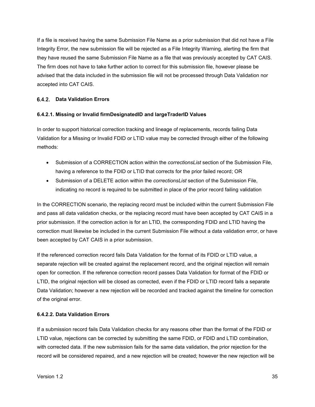If a file is received having the same Submission File Name as a prior submission that did not have a File Integrity Error, the new submission file will be rejected as a File Integrity Warning, alerting the firm that they have reused the same Submission File Name as a file that was previously accepted by CAT CAIS. The firm does not have to take further action to correct for this submission file, however please be advised that the data included in the submission file will not be processed through Data Validation nor accepted into CAT CAIS.

#### <span id="page-40-0"></span>**Data Validation Errors**

#### **6.4.2.1. Missing or Invalid firmDesignatedID and largeTraderID Values**

In order to support historical correction tracking and lineage of replacements, records failing Data Validation for a Missing or Invalid FDID or LTID value may be corrected through either of the following methods:

- Submission of a CORRECTION action within the *correctionsList* section of the Submission File, having a reference to the FDID or LTID that corrects for the prior failed record; OR
- Submission of a DELETE action within the *correctionsList* section of the Submission File, indicating no record is required to be submitted in place of the prior record failing validation

In the CORRECTION scenario, the replacing record must be included within the current Submission File and pass all data validation checks, or the replacing record must have been accepted by CAT CAIS in a prior submission. If the correction action is for an LTID, the corresponding FDID and LTID having the correction must likewise be included in the current Submission File without a data validation error, or have been accepted by CAT CAIS in a prior submission.

If the referenced correction record fails Data Validation for the format of its FDID or LTID value, a separate rejection will be created against the replacement record, and the original rejection will remain open for correction. If the reference correction record passes Data Validation for format of the FDID or LTID, the original rejection will be closed as corrected, even if the FDID or LTID record fails a separate Data Validation; however a new rejection will be recorded and tracked against the timeline for correction of the original error.

#### **6.4.2.2. Data Validation Errors**

If a submission record fails Data Validation checks for any reasons other than the format of the FDID or LTID value, rejections can be corrected by submitting the same FDID, or FDID and LTID combination, with corrected data. If the new submission fails for the same data validation, the prior rejection for the record will be considered repaired, and a new rejection will be created; however the new rejection will be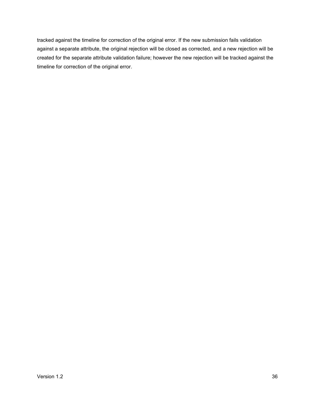tracked against the timeline for correction of the original error. If the new submission fails validation against a separate attribute, the original rejection will be closed as corrected, and a new rejection will be created for the separate attribute validation failure; however the new rejection will be tracked against the timeline for correction of the original error.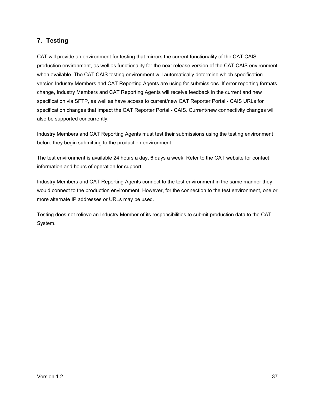# <span id="page-42-0"></span>**7. Testing**

CAT will provide an environment for testing that mirrors the current functionality of the CAT CAIS production environment, as well as functionality for the next release version of the CAT CAIS environment when available. The CAT CAIS testing environment will automatically determine which specification version Industry Members and CAT Reporting Agents are using for submissions. If error reporting formats change, Industry Members and CAT Reporting Agents will receive feedback in the current and new specification via SFTP, as well as have access to current/new CAT Reporter Portal - CAIS URLs for specification changes that impact the CAT Reporter Portal - CAIS. Current/new connectivity changes will also be supported concurrently.

Industry Members and CAT Reporting Agents must test their submissions using the testing environment before they begin submitting to the production environment.

The test environment is available 24 hours a day, 6 days a week. Refer to the CAT website for contact information and hours of operation for support.

Industry Members and CAT Reporting Agents connect to the test environment in the same manner they would connect to the production environment. However, for the connection to the test environment, one or more alternate IP addresses or URLs may be used.

Testing does not relieve an Industry Member of its responsibilities to submit production data to the CAT System.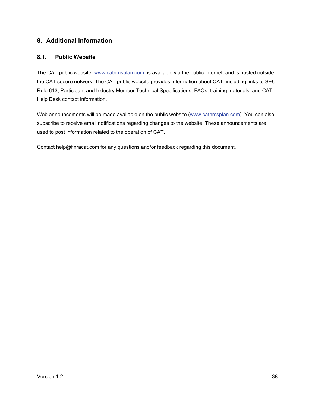# <span id="page-43-0"></span>**8. Additional Information**

#### <span id="page-43-1"></span>**8.1. Public Website**

The CAT public website, [www.catnmsplan.com,](https://www.catnmsplan.com/) is available via the public internet, and is hosted outside the CAT secure network. The CAT public website provides information about CAT, including links to SEC Rule 613, Participant and Industry Member Technical Specifications, FAQs, training materials, and CAT Help Desk contact information.

Web announcements will be made available on the public website [\(www.catnmsplan.com\)](https://www.catnmsplan.com/). You can also subscribe to receive email notifications regarding changes to the website. These announcements are used to post information related to the operation of CAT.

Contact help@finracat.com for any questions and/or feedback regarding this document.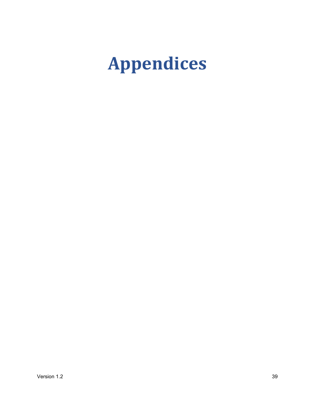# <span id="page-44-0"></span>**Appendices**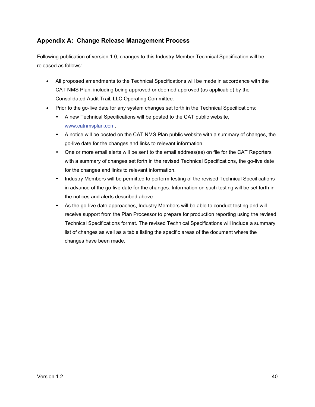# <span id="page-45-0"></span>**Appendix A: Change Release Management Process**

Following publication of version 1.0, changes to this Industry Member Technical Specification will be released as follows:

- All proposed amendments to the Technical Specifications will be made in accordance with the CAT NMS Plan, including being approved or deemed approved (as applicable) by the Consolidated Audit Trail, LLC Operating Committee.
- Prior to the go-live date for any system changes set forth in the Technical Specifications:
	- A new Technical Specifications will be posted to the CAT public website, [www.catnmsplan.com.](https://www.catnmsplan.com/)
	- A notice will be posted on the CAT NMS Plan public website with a summary of changes, the go-live date for the changes and links to relevant information.
	- One or more email alerts will be sent to the email address(es) on file for the CAT Reporters with a summary of changes set forth in the revised Technical Specifications, the go-live date for the changes and links to relevant information.
	- Industry Members will be permitted to perform testing of the revised Technical Specifications in advance of the go-live date for the changes. Information on such testing will be set forth in the notices and alerts described above.
	- As the go-live date approaches, Industry Members will be able to conduct testing and will receive support from the Plan Processor to prepare for production reporting using the revised Technical Specifications format. The revised Technical Specifications will include a summary list of changes as well as a table listing the specific areas of the document where the changes have been made.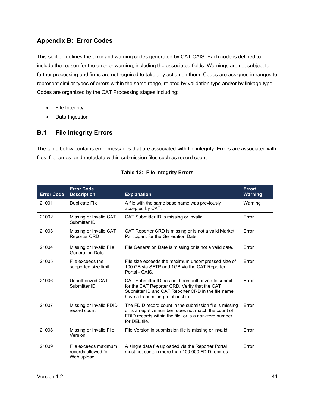# <span id="page-46-0"></span>**Appendix B: Error Codes**

This section defines the error and warning codes generated by CAT CAIS. Each code is defined to include the reason for the error or warning, including the associated fields. Warnings are not subject to further processing and firms are not required to take any action on them. Codes are assigned in ranges to represent similar types of errors within the same range, related by validation type and/or by linkage type. Codes are organized by the CAT Processing stages including:

- File Integrity
- Data Ingestion

# <span id="page-46-1"></span>**B.1 File Integrity Errors**

The table below contains error messages that are associated with file integrity. Errors are associated with files, filenames, and metadata within submission files such as record count.

| <b>Error Code</b> | <b>Error Code</b><br><b>Description</b>                   | <b>Explanation</b>                                                                                                                                                                             | Error/<br><b>Warning</b> |
|-------------------|-----------------------------------------------------------|------------------------------------------------------------------------------------------------------------------------------------------------------------------------------------------------|--------------------------|
| 21001             | Duplicate File                                            | A file with the same base name was previously<br>accepted by CAT.                                                                                                                              | Warning                  |
| 21002             | Missing or Invalid CAT<br>Submitter ID                    | CAT Submitter ID is missing or invalid.                                                                                                                                                        | Error                    |
| 21003             | Missing or Invalid CAT<br><b>Reporter CRD</b>             | CAT Reporter CRD is missing or is not a valid Market<br>Participant for the Generation Date.                                                                                                   | Error                    |
| 21004             | Missing or Invalid File<br><b>Generation Date</b>         | File Generation Date is missing or is not a valid date.                                                                                                                                        | Error                    |
| 21005             | File exceeds the<br>supported size limit                  | File size exceeds the maximum uncompressed size of<br>100 GB via SFTP and 1GB via the CAT Reporter<br>Portal - CAIS.                                                                           | Error                    |
| 21006             | Unauthorized CAT<br>Submitter ID                          | CAT Submitter ID has not been authorized to submit<br>for the CAT Reporter CRD. Verify that the CAT<br>Submitter ID and CAT Reporter CRD in the file name<br>have a transmitting relationship. | Frror                    |
| 21007             | Missing or Invalid FDID<br>record count                   | The FDID record count in the submission file is missing<br>or is a negative number, does not match the count of<br>FDID records within the file, or is a non-zero number<br>for DFI file.      | Error                    |
| 21008             | Missing or Invalid File<br>Version                        | File Version in submission file is missing or invalid.                                                                                                                                         | Error                    |
| 21009             | File exceeds maximum<br>records allowed for<br>Web upload | A single data file uploaded via the Reporter Portal<br>must not contain more than 100,000 FDID records.                                                                                        | Error                    |

| <b>Table 12: File Integrity Errors</b> |  |
|----------------------------------------|--|
|----------------------------------------|--|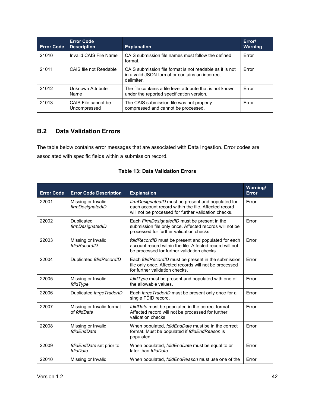| <b>Error Code</b> | <b>Error Code</b><br><b>Description</b> | <b>Explanation</b>                                                                                                        | Error/<br><b>Warning</b> |
|-------------------|-----------------------------------------|---------------------------------------------------------------------------------------------------------------------------|--------------------------|
| 21010             | Invalid CAIS File Name                  | CAIS submission file names must follow the defined<br>format.                                                             | Error                    |
| 21011             | CAIS file not Readable                  | CAIS submission file format is not readable as it is not<br>in a valid JSON format or contains an incorrect<br>delimiter. | Error                    |
| 21012             | Unknown Attribute<br>Name               | The file contains a file level attribute that is not known<br>under the reported specification version.                   | Error                    |
| 21013             | CAIS File cannot be<br>Uncompressed     | The CAIS submission file was not properly<br>compressed and cannot be processed.                                          | Frror                    |

# <span id="page-47-0"></span>**B.2 Data Validation Errors**

The table below contains error messages that are associated with Data Ingestion. Error codes are associated with specific fields within a submission record.

| <b>Error Code</b> | <b>Error Code Description</b>            | <b>Explanation</b>                                                                                                                                                 | Warning/<br><b>Error</b> |
|-------------------|------------------------------------------|--------------------------------------------------------------------------------------------------------------------------------------------------------------------|--------------------------|
| 22001             | Missing or Invalid<br>firmDesignatedID   | firmDesignatedID must be present and populated for<br>each account record within the file. Affected record<br>will not be processed for further validation checks. | Error                    |
| 22002             | Duplicated<br>firmDesignatedID           | Each FirmDesignatedID must be present in the<br>submission file only once. Affected records will not be<br>processed for further validation checks.                | Error                    |
| 22003             | Missing or Invalid<br>fdidRecordID       | fdidRecordID must be present and populated for each<br>account record within the file. Affected record will not<br>be processed for further validation checks.     | Error                    |
| 22004             | Duplicated fdidRecordID                  | Each fdidRecordID must be present in the submission<br>file only once. Affected records will not be processed<br>for further validation checks.                    | Error                    |
| 22005             | Missing or Invalid<br>fdidType           | fdid Type must be present and populated with one of<br>the allowable values.                                                                                       | Frror                    |
| 22006             | Duplicated large TraderID                | Each large TraderID must be present only once for a<br>single FDID record.                                                                                         | Error                    |
| 22007             | Missing or Invalid format<br>of fdidDate | fdidDate must be populated in the correct format.<br>Affected record will not be processed for further<br>validation checks.                                       | <b>Frror</b>             |
| 22008             | Missing or Invalid<br>fdidEndDate        | When populated, fdidEndDate must be in the correct<br>format. Must be populated if fdidEndReason is<br>populated.                                                  | Error                    |
| 22009             | fdidEndDate set prior to<br>fdidDate     | When populated, fdidEndDate must be equal to or<br>later than <i>fdidDate</i> .                                                                                    | Error                    |
| 22010             | Missing or Invalid                       | When populated, <i>fdidEndReason</i> must use one of the                                                                                                           | Error                    |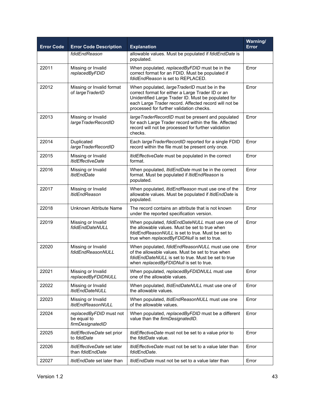| <b>Error Code</b> | <b>Error Code Description</b>                                 | <b>Explanation</b>                                                                                                                                                                                                                                             | Warning/<br><b>Error</b> |
|-------------------|---------------------------------------------------------------|----------------------------------------------------------------------------------------------------------------------------------------------------------------------------------------------------------------------------------------------------------------|--------------------------|
|                   | fdidEndReason                                                 | allowable values. Must be populated if fdidEndDate is<br>populated.                                                                                                                                                                                            |                          |
| 22011             | Missing or Invalid<br>replacedByFDID                          | When populated, replacedByFDID must be in the<br>correct format for an FDID. Must be populated if<br>fdidEndReason is set to REPLACED.                                                                                                                         | Error                    |
| 22012             | Missing or Invalid format<br>of large TraderID                | When populated, large TraderID must be in the<br>correct format for either a Large Trader ID or an<br>Unidentified Large Trader ID. Must be populated for<br>each Large Trader record. Affected record will not be<br>processed for further validation checks. | Error                    |
| 22013             | Missing or Invalid<br>largeTraderRecordID                     | large TraderRecordID must be present and populated<br>for each Large Trader record within the file. Affected<br>record will not be processed for further validation<br>checks.                                                                                 | Error                    |
| 22014             | Duplicated<br>largeTraderRecordID                             | Each large Trader RecordID reported for a single FDID<br>record within the file must be present only once.                                                                                                                                                     | Error                    |
| 22015             | Missing or Invalid<br><b>ItidEffectiveDate</b>                | ItidEffectiveDate must be populated in the correct<br>format.                                                                                                                                                                                                  | Error                    |
| 22016             | Missing or Invalid<br><b>ItidEndDate</b>                      | When populated, <i>ItidEndDate</i> must be in the correct<br>format. Must be populated if ItidEndReason is<br>populated.                                                                                                                                       | Error                    |
| 22017             | Missing or Invalid<br>ltidEndReason                           | When populated, <i>ItidEndReason</i> must use one of the<br>allowable values. Must be populated if ItidEndDate is<br>populated.                                                                                                                                | Error                    |
| 22018             | Unknown Attribute Name                                        | The record contains an attribute that is not known<br>under the reported specification version.                                                                                                                                                                | Error                    |
| 22019             | Missing or Invalid<br>fdidEndDateNULL                         | When populated, fdidEndDateNULL must use one of<br>the allowable values. Must be set to true when<br>fdidEndReasonNULL is set to true. Must be set to<br>true when replacedByFDIDNull is set to true.                                                          | Error                    |
| 22020             | Missing or Invalid<br>fdidEndReasonNULL                       | When populated, fdidEndReasonNULL must use one<br>of the allowable values. Must be set to true when<br>fdidEndDateNULL is set to true. Must be set to true<br>when replacedByFDIDNull is set to true.                                                          | Error                    |
| 22021             | Missing or Invalid<br>replacedByFDIDNULL                      | When populated, replacedByFDIDNULL must use<br>one of the allowable values.                                                                                                                                                                                    | Error                    |
| 22022             | Missing or Invalid<br><b>ItidEndDateNULL</b>                  | When populated, <i>ItidEndDateNULL</i> must use one of<br>the allowable values.                                                                                                                                                                                | Error                    |
| 22023             | Missing or Invalid<br><b>ItidEndReasonNULL</b>                | When populated, <i>ItidEndReasonNULL</i> must use one<br>of the allowable values.                                                                                                                                                                              | Error                    |
| 22024             | replacedByFDID must not<br>be equal to<br>firmDesignatedID    | When populated, replacedByFDID must be a different<br>value than the firmDesignatedID.                                                                                                                                                                         | Error                    |
| 22025             | ItidEffectiveDate set prior<br>to fdidDate                    | <i>ItidEffectiveDate</i> must not be set to a value prior to<br>the <i>fdidDate</i> value.                                                                                                                                                                     | Error                    |
| 22026             | <i>ltidEffectiveDate</i> set later<br>than <i>fdidEndDate</i> | <i>ItidEffectiveDate</i> must not be set to a value later than<br>fdidEndDate.                                                                                                                                                                                 | Error                    |
| 22027             | ItidEndDate set later than                                    | <i>ItidEndDate</i> must not be set to a value later than                                                                                                                                                                                                       | Error                    |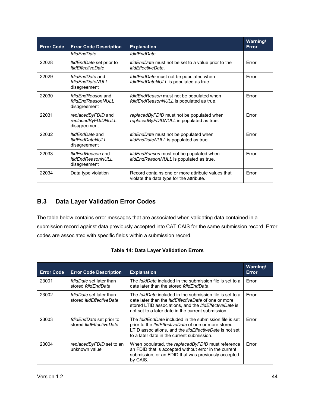| <b>Error Code</b> | <b>Error Code Description</b>                                        | <b>Explanation</b>                                                                            | Warning/<br>Error |
|-------------------|----------------------------------------------------------------------|-----------------------------------------------------------------------------------------------|-------------------|
|                   | fdidEndDate                                                          | fdidEndDate.                                                                                  |                   |
| 22028             | ItidEndDate set prior to<br><b>ItidEffectiveDate</b>                 | <i>ItidEndDate</i> must not be set to a value prior to the<br>ItidEffectiveDate.              | <b>Frror</b>      |
| 22029             | fdidEndDate and<br>fdidEndDateNULL<br>disagreement                   | fdidEndDate must not be populated when<br>fdidEndDateNULL is populated as true.               | <b>Frror</b>      |
| 22030             | fdidEndReason and<br>fdidEndReasonNULL<br>disagreement               | fdidEndReason must not be populated when<br>fdidEndReasonNULL is populated as true.           | Error             |
| 22031             | replacedByFDID and<br>replacedByFDIDNULL<br>disagreement             | replacedByFDID must not be populated when<br>replacedByFDIDNULL is populated as true.         | <b>Frror</b>      |
| 22032             | <i>ItidEndDate</i> and<br><b>ItidEndDateNULL</b><br>disagreement     | <i>ItidEndDate</i> must not be populated when<br><i>ItidEndDateNULL</i> is populated as true. | <b>Frror</b>      |
| 22033             | <i>ItidEndReason</i> and<br><b>ItidEndReasonNULL</b><br>disagreement | <i>ItidEndReason</i> must not be populated when<br>ItidEndReasonNULL is populated as true.    | Error             |
| 22034             | Data type violation                                                  | Record contains one or more attribute values that<br>violate the data type for the attribute. | Error             |

# <span id="page-49-0"></span>**B.3 Data Layer Validation Error Codes**

The table below contains error messages that are associated when validating data contained in a submission record against data previously accepted into CAT CAIS for the same submission record. Error codes are associated with specific fields within a submission record.

|  | <b>Table 14: Data Layer Validation Errors</b> |  |
|--|-----------------------------------------------|--|
|--|-----------------------------------------------|--|

| <b>Error Code</b> | <b>Error Code Description</b>                                     | <b>Explanation</b>                                                                                                                                                                                                                                    | Warning/<br><b>Error</b> |
|-------------------|-------------------------------------------------------------------|-------------------------------------------------------------------------------------------------------------------------------------------------------------------------------------------------------------------------------------------------------|--------------------------|
| 23001             | <i>fdidDate</i> set later than<br>stored fdidEndDate              | The <i>fdidDate</i> included in the submission file is set to a<br>date later than the stored fdidEndDate.                                                                                                                                            | Error                    |
| 23002             | <i>fdidDate</i> set later than<br>stored <i>ItidEffectiveDate</i> | The <i>fdidDate</i> included in the submission file is set to a<br>date later than the <i>ItidEffectiveDate</i> of one or more<br>stored LTID associations, and the <i>ItidEffectiveDate</i> is<br>not set to a later date in the current submission. | Error                    |
| 23003             | fdidEndDate set prior to<br>stored <i>ItidEffectiveDate</i>       | The <i>fdidEndDate</i> included in the submission file is set<br>prior to the <i>ItidEffectiveDate</i> of one or more stored<br>LTID associations, and the <i>ItidEffectiveDate</i> is not set<br>to a later date in the current submission.          | Frror                    |
| 23004             | replacedByFDID set to an<br>unknown value                         | When populated, the replacedByFDID must reference<br>an FDID that is accepted without error in the current<br>submission, or an FDID that was previously accepted<br>by CAIS.                                                                         | Error                    |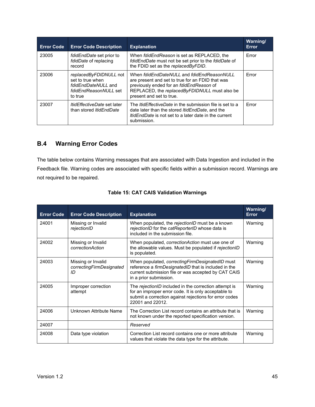| <b>Error Code</b> | <b>Error Code Description</b>                                                                         | <b>Explanation</b>                                                                                                                                                                                                        | Warning/<br>Error |
|-------------------|-------------------------------------------------------------------------------------------------------|---------------------------------------------------------------------------------------------------------------------------------------------------------------------------------------------------------------------------|-------------------|
| 23005             | <i>fdidEndDate</i> set prior to<br>fdidDate of replacing<br>record                                    | When fdidEndReason is set as REPLACED, the<br>fdidEndDate must not be set prior to the fdidDate of<br>the FDID set as the replacedByFDID.                                                                                 | Error             |
| 23006             | replacedByFDIDNULL not<br>set to true when<br>fdidEndDateNULL and<br>fdidEndReasonNULL set<br>to true | When fdidEndDateNULL and fdidEndReasonNULL<br>are present and set to true for an FDID that was<br>previously ended for an fdidEndReason of<br>REPLACED, the replaced By FDIDNULL must also be<br>present and set to true. | Error             |
| 23007             | <i>ItidEffectiveDate</i> set later<br>than stored <i>ItidEndDate</i>                                  | The <i>ItidEffectiveDate</i> in the submission file is set to a<br>date later than the stored <i>ItidEndDate</i> , and the<br><i>ItidEndDate</i> is not set to a later date in the current<br>submission.                 | Frror             |

# <span id="page-50-0"></span>**B.4 Warning Error Codes**

The table below contains Warning messages that are associated with Data Ingestion and included in the Feedback file. Warning codes are associated with specific fields within a submission record. Warnings are not required to be repaired.

| <b>Error Code</b> | <b>Error Code Description</b>                        | <b>Explanation</b>                                                                                                                                                                                 | Warning/<br>Error |
|-------------------|------------------------------------------------------|----------------------------------------------------------------------------------------------------------------------------------------------------------------------------------------------------|-------------------|
| 24001             | Missing or Invalid<br>rejectionID                    | When populated, the rejectionID must be a known<br>rejectionID for the catReporterID whose data is<br>included in the submission file.                                                             | Warning           |
| 24002             | Missing or Invalid<br>correctionAction               | When populated, correction Action must use one of<br>the allowable values. Must be populated if rejectionID<br>is populated.                                                                       | Warning           |
| 24003             | Missing or Invalid<br>correctingFirmDesignated<br>ID | When populated, correcting Firm Designated ID must<br>reference a <i>firmDesignatedID</i> that is included in the<br>current submission file or was accepted by CAT CAIS<br>in a prior submission. | Warning           |
| 24005             | Improper correction<br>attempt                       | The rejectionID included in the correction attempt is<br>for an improper error code. It is only acceptable to<br>submit a correction against rejections for error codes<br>22001 and 22012.        | Warning           |
| 24006             | Unknown Attribute Name                               | The Correction List record contains an attribute that is<br>not known under the reported specification version.                                                                                    | Warning           |
| 24007             |                                                      | Reserved                                                                                                                                                                                           |                   |
| 24008             | Data type violation                                  | Correction List record contains one or more attribute<br>values that violate the data type for the attribute.                                                                                      | Warning           |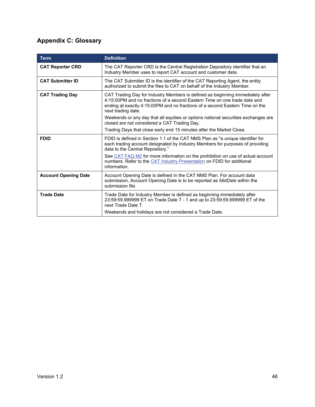# <span id="page-51-0"></span>**Appendix C: Glossary**

| <b>Term</b>                 | <b>Definition</b>                                                                                                                                                                                                                                                 |
|-----------------------------|-------------------------------------------------------------------------------------------------------------------------------------------------------------------------------------------------------------------------------------------------------------------|
| <b>CAT Reporter CRD</b>     | The CAT Reporter CRD is the Central Registration Depository identifier that an<br>Industry Member uses to report CAT account and customer data.                                                                                                                   |
| <b>CAT Submitter ID</b>     | The CAT Submitter ID is the identifier of the CAT Reporting Agent, the entity<br>authorized to submit the files to CAT on behalf of the Industry Member.                                                                                                          |
| <b>CAT Trading Day</b>      | CAT Trading Day for Industry Members is defined as beginning immediately after<br>4:15:00PM and no fractions of a second Eastern Time on one trade date and<br>ending at exactly 4:15:00PM and no fractions of a second Eastern Time on the<br>next trading date. |
|                             | Weekends or any day that all equities or options national securities exchanges are<br>closed are not considered a CAT Trading Day.                                                                                                                                |
|                             | Trading Days that close early end 15 minutes after the Market Close.                                                                                                                                                                                              |
| <b>FDID</b>                 | FDID is defined in Section 1.1 of the CAT NMS Plan as "a unique identifier for<br>each trading account designated by Industry Members for purposes of providing<br>data to the Central Repository."                                                               |
|                             | See CAT FAQ M2 for more information on the prohibition on use of actual account<br>numbers. Refer to the CAT Industry Presentation on FDID for additional<br>information.                                                                                         |
| <b>Account Opening Date</b> | Account Opening Date is defined in the CAT NMS Plan. For account data<br>submission, Account Opening Date is to be reported as <i>fdidDate</i> within the<br>submission file.                                                                                     |
| <b>Trade Date</b>           | Trade Date for Industry Member is defined as beginning immediately after<br>23:59:59.999999 ET on Trade Date T - 1 and up to 23:59:59.999999 ET of the<br>next Trade Date T.                                                                                      |
|                             | Weekends and holidays are not considered a Trade Date.                                                                                                                                                                                                            |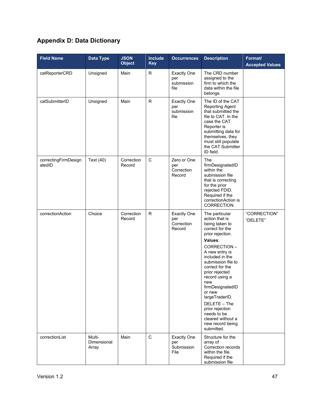# <span id="page-52-0"></span>**Appendix D: Data Dictionary**

| <b>Field Name</b>              | Data Type                             | <b>JSON</b><br><b>Object</b> | <b>Include</b><br><b>Key</b> | <b>Occurrences</b>                                | <b>Description</b>                                                                                                                                                                                                                                                                                                                                                                                    | Format/<br><b>Accepted Values</b> |
|--------------------------------|---------------------------------------|------------------------------|------------------------------|---------------------------------------------------|-------------------------------------------------------------------------------------------------------------------------------------------------------------------------------------------------------------------------------------------------------------------------------------------------------------------------------------------------------------------------------------------------------|-----------------------------------|
| catReporterCRD                 | Unsigned                              | Main                         | R                            | <b>Exactly One</b><br>per<br>submission<br>file   | The CRD number<br>assigned to the<br>firm to which the<br>data within the file<br>belongs.                                                                                                                                                                                                                                                                                                            |                                   |
| catSubmitterID                 | Unsigned                              | Main                         | $\mathsf R$                  | <b>Exactly One</b><br>per<br>submission<br>file   | The ID of the CAT<br>Reporting Agent<br>that submitted the<br>file to CAT. In the<br>case the CAT<br>Reporter is<br>submitting data for<br>themselves, they<br>must still populate<br>the CAT Submitter<br>ID field.                                                                                                                                                                                  |                                   |
| correctingFirmDesign<br>atedID | Text (40)                             | Correction<br>Record         | $\mathsf C$                  | Zero or One<br>per<br>Correction<br>Record        | The<br>firmDesignatedID<br>within the<br>submission file<br>that is correcting<br>for the prior<br>rejected FDID.<br>Required if the<br>correctionAction is<br>CORRECTION.                                                                                                                                                                                                                            |                                   |
| correctionAction               | Choice                                | Correction<br>Record         | R.                           | <b>Exactly One</b><br>per<br>Correction<br>Record | The particular<br>action that is<br>being taken to<br>correct for the<br>prior rejection.<br>Values:<br>CORRECTION-<br>A new entry is<br>included in the<br>submission file to<br>correct for the<br>prior rejected<br>record using a<br>new<br>firmDesignatedID<br>or new<br>largeTraderID.<br>DELETE - The<br>prior rejection<br>needs to be<br>cleared without a<br>new record being<br>submitted. | "CORRECTION"<br>"DELETE"          |
| correctionList                 | Multi-<br><b>Dimensional</b><br>Array | Main                         | $\mathbf C$                  | <b>Exactly One</b><br>per<br>Submission<br>File   | Structure for the<br>array of<br>Correction records<br>within the file.<br>Required if the<br>submission file                                                                                                                                                                                                                                                                                         |                                   |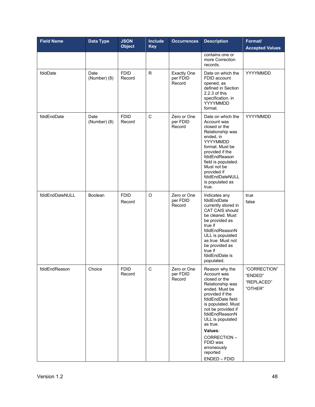| <b>Field Name</b> | <b>Data Type</b>     | <b>JSON</b><br><b>Object</b> | <b>Include</b><br><b>Key</b> | <b>Occurrences</b>                       | <b>Description</b>                                                                                                                                                                                                                                                                                          | Format/<br><b>Accepted Values</b>                |
|-------------------|----------------------|------------------------------|------------------------------|------------------------------------------|-------------------------------------------------------------------------------------------------------------------------------------------------------------------------------------------------------------------------------------------------------------------------------------------------------------|--------------------------------------------------|
|                   |                      |                              |                              |                                          | contains one or<br>more Correction<br>records.                                                                                                                                                                                                                                                              |                                                  |
| fdidDate          | Date<br>(Number) (8) | <b>FDID</b><br>Record        | R.                           | <b>Exactly One</b><br>per FDID<br>Record | Date on which the<br>FDID account<br>opened, as<br>defined in Section<br>2.2.3 of this<br>specification, in<br>YYYYMMDD<br>format.                                                                                                                                                                          | YYYYMMDD                                         |
| fdidEndDate       | Date<br>(Number) (8) | <b>FDID</b><br>Record        | C                            | Zero or One<br>per FDID<br>Record        | Date on which the<br>Account was<br>closed or the<br>Relationship was<br>ended, in<br>YYYYMMDD<br>format. Must be<br>provided if the<br>fdidEndReason<br>field is populated.<br>Must not be<br>provided if<br>fdidEndDateNULL<br>is populated as<br>true.                                                   | YYYYMMDD                                         |
| fdidEndDateNULL   | Boolean              | <b>FDID</b><br>Record        | $\circ$                      | Zero or One<br>per FDID<br>Record        | Indicates any<br>fdidEndDate<br>currently stored in<br>CAT CAIS should<br>be cleared. Must<br>be provided as<br>true if<br>fdidEndReasonN<br>ULL is populated<br>as true. Must not<br>be provided as<br>true if<br>fdidEndDate is<br>populated.                                                             | true<br>false                                    |
| fdidEndReason     | Choice               | <b>FDID</b><br>Record        | С                            | Zero or One<br>per FDID<br>Record        | Reason why the<br>Account was<br>closed or the<br>Relationship was<br>ended. Must be<br>provided if the<br>fdidEndDate field<br>is populated. Must<br>not be provided if<br>fdidEndReasonN<br>ULL is populated<br>as true.<br>Values:<br>CORRECTION-<br>FDID was<br>erroneously<br>reported<br>ENDED - FDID | "CORRECTION"<br>"ENDED"<br>"REPLACED"<br>"OTHER" |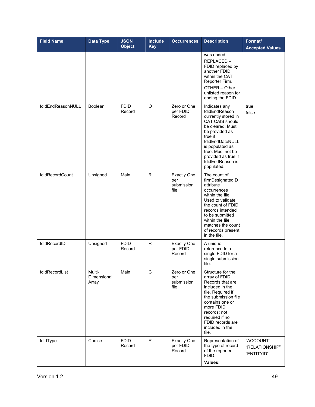| <b>Field Name</b> | <b>Data Type</b>               | <b>JSON</b><br><b>Object</b> | Include<br><b>Key</b> | <b>Occurrences</b>                              | <b>Description</b>                                                                                                                                                                                                                             | Format/<br><b>Accepted Values</b>         |
|-------------------|--------------------------------|------------------------------|-----------------------|-------------------------------------------------|------------------------------------------------------------------------------------------------------------------------------------------------------------------------------------------------------------------------------------------------|-------------------------------------------|
|                   |                                |                              |                       |                                                 | was ended<br>REPLACED-<br>FDID replaced by<br>another FDID<br>within the CAT<br>Reporter Firm.<br>OTHER - Other<br>unlisted reason for<br>ending the FDID                                                                                      |                                           |
| fdidEndReasonNULL | <b>Boolean</b>                 | <b>FDID</b><br>Record        | O                     | Zero or One<br>per FDID<br>Record               | Indicates any<br>fdidEndReason<br>currently stored in<br>CAT CAIS should<br>be cleared. Must<br>be provided as<br>true if<br>fdidEndDateNULL<br>is populated as<br>true. Must not be<br>provided as true if<br>fdidEndReason is<br>populated.  | true<br>false                             |
| fdidRecordCount   | Unsigned                       | Main                         | $\mathsf{R}$          | <b>Exactly One</b><br>per<br>submission<br>file | The count of<br>firmDesignatedID<br>attribute<br>occurrences<br>within the file.<br>Used to validate<br>the count of FDID<br>records intended<br>to be submitted<br>within the file<br>matches the count<br>of records present<br>in the file. |                                           |
| fdidRecordID      | Unsigned                       | <b>FDID</b><br>Record        | R.                    | <b>Exactly One</b><br>per FDID<br>Record        | A unique<br>reference to a<br>single FDID for a<br>single submission<br>file.                                                                                                                                                                  |                                           |
| fdidRecordList    | Multi-<br>Dimensional<br>Array | Main                         | C                     | Zero or One<br>per<br>submission<br>file        | Structure for the<br>array of FDID<br>Records that are<br>included in the<br>file. Required if<br>the submission file<br>contains one or<br>more FDID<br>records; not<br>required if no<br>FDID records are<br>included in the<br>file.        |                                           |
| fdidType          | Choice                         | <b>FDID</b><br>Record        | $\mathsf{R}$          | <b>Exactly One</b><br>per FDID<br>Record        | Representation of<br>the type of record<br>of the reported<br>FDID.<br>Values:                                                                                                                                                                 | "ACCOUNT"<br>"RELATIONSHIP"<br>"ENTITYID" |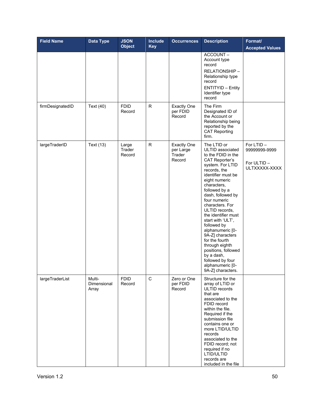| <b>Field Name</b> | Data Type                      | <b>JSON</b><br><b>Object</b> | <b>Include</b><br><b>Key</b> | <b>Occurrences</b>                                  | <b>Description</b>                                                                                                                                                                                                                                                                                                                                                                                                                                                                                           | Format/<br><b>Accepted Values</b>                          |
|-------------------|--------------------------------|------------------------------|------------------------------|-----------------------------------------------------|--------------------------------------------------------------------------------------------------------------------------------------------------------------------------------------------------------------------------------------------------------------------------------------------------------------------------------------------------------------------------------------------------------------------------------------------------------------------------------------------------------------|------------------------------------------------------------|
|                   |                                |                              |                              |                                                     | ACCOUNT-<br>Account type<br>record<br>RELATIONSHIP-<br>Relationship type<br>record<br><b>ENTITYID - Entity</b><br>Identifier type<br>record                                                                                                                                                                                                                                                                                                                                                                  |                                                            |
| firmDesignatedID  | Text (40)                      | <b>FDID</b><br>Record        | $\mathsf R$                  | <b>Exactly One</b><br>per FDID<br>Record            | The Firm<br>Designated ID of<br>the Account or<br>Relationship being<br>reported by the<br><b>CAT Reporting</b><br>firm.                                                                                                                                                                                                                                                                                                                                                                                     |                                                            |
| largeTraderID     | Text (13)                      | Large<br>Trader<br>Record    | $\mathsf{R}$                 | <b>Exactly One</b><br>per Large<br>Trader<br>Record | The LTID or<br>ULTID associated<br>to the FDID in the<br><b>CAT Reporter's</b><br>system. For LTID<br>records, the<br>identifier must be<br>eight numeric<br>characters,<br>followed by a<br>dash, followed by<br>four numeric<br>characters. For<br>ULTID records,<br>the identifier must<br>start with 'ULT',<br>followed by<br>alphanumeric [0-<br>9A-Z] characters<br>for the fourth<br>through eighth<br>positions, followed<br>by a dash,<br>followed by four<br>alphanumeric [0-<br>9A-Z] characters. | For LTID-<br>99999999-9999<br>For ULTID -<br>ULTXXXXX-XXXX |
| largeTraderList   | Multi-<br>Dimensional<br>Array | <b>FDID</b><br>Record        | $\mathbf C$                  | Zero or One<br>per FDID<br>Record                   | Structure for the<br>array of LTID or<br>ULTID records<br>that are<br>associated to the<br>FDID record<br>within the file.<br>Required if the<br>submission file<br>contains one or<br>more LTID/ULTID<br>records<br>associated to the<br>FDID record; not<br>required if no<br>LTID/ULTID<br>records are<br>included in the file                                                                                                                                                                            |                                                            |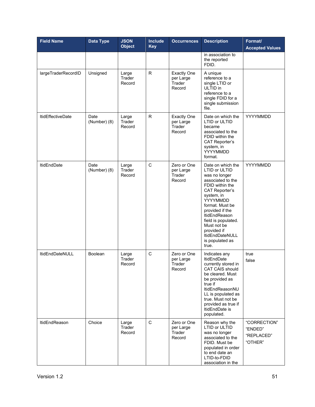| <b>Field Name</b>        | <b>Data Type</b>     | <b>JSON</b><br><b>Object</b> | Include<br><b>Key</b> | <b>Occurrences</b>                                  | <b>Description</b>                                                                                                                                                                                                                                                                                                      | Format/<br><b>Accepted Values</b>                |
|--------------------------|----------------------|------------------------------|-----------------------|-----------------------------------------------------|-------------------------------------------------------------------------------------------------------------------------------------------------------------------------------------------------------------------------------------------------------------------------------------------------------------------------|--------------------------------------------------|
|                          |                      |                              |                       |                                                     | in association to<br>the reported<br>FDID.                                                                                                                                                                                                                                                                              |                                                  |
| largeTraderRecordID      | Unsigned             | Large<br>Trader<br>Record    | R.                    | <b>Exactly One</b><br>per Large<br>Trader<br>Record | A unique<br>reference to a<br>single LTID or<br>ULTID in<br>reference to a<br>single FDID for a<br>single submission<br>file.                                                                                                                                                                                           |                                                  |
| <b>ItidEffectiveDate</b> | Date<br>(Number) (8) | Large<br>Trader<br>Record    | R.                    | <b>Exactly One</b><br>per Large<br>Trader<br>Record | Date on which the<br><b>LTID or ULTID</b><br>became<br>associated to the<br>FDID within the<br><b>CAT Reporter's</b><br>system, in<br>YYYYMMDD<br>format.                                                                                                                                                               | YYYYMMDD                                         |
| <b>ItidEndDate</b>       | Date<br>(Number) (8) | Large<br>Trader<br>Record    | C                     | Zero or One<br>per Large<br>Trader<br>Record        | Date on which the<br>LTID or ULTID<br>was no longer<br>associated to the<br>FDID within the<br><b>CAT Reporter's</b><br>system, in<br>YYYYMMDD<br>format. Must be<br>provided if the<br><b>ItidEndReason</b><br>field is populated.<br>Must not be<br>provided if<br><b>ItidEndDateNULL</b><br>is populated as<br>true. | YYYYMMDD                                         |
| <b>ItidEndDateNULL</b>   | Boolean              | Large<br>Trader<br>Record    | C                     | Zero or One<br>per Large<br>Trader<br>Record        | Indicates any<br><b>ItidEndDate</b><br>currently stored in<br>CAT CAIS should<br>be cleared. Must<br>be provided as<br>true if<br><b>ItidEndReasonNU</b><br>LL is populated as<br>true. Must not be<br>provided as true if<br>ItidEndDate is<br>populated.                                                              | true<br>false                                    |
| <b>ItidEndReason</b>     | Choice               | Large<br>Trader<br>Record    | $\mathbf C$           | Zero or One<br>per Large<br>Trader<br>Record        | Reason why the<br>LTID or ULTID<br>was no longer<br>associated to the<br>FDID. Must be<br>populated in order<br>to end date an<br>LTID-to-FDID<br>association in the                                                                                                                                                    | "CORRECTION"<br>"ENDED"<br>"REPLACED"<br>"OTHER" |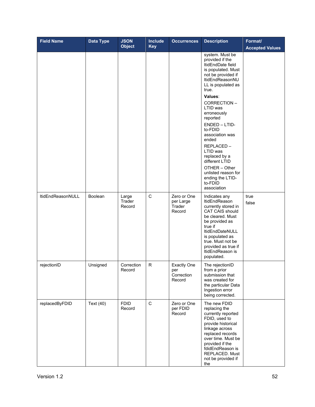| <b>Field Name</b>        | Data Type      | <b>JSON</b><br><b>Object</b> | Include<br><b>Key</b> | <b>Occurrences</b>                                | <b>Description</b>                                                                                                                                                                                                                                                                                                                                                                                                               | Format/<br><b>Accepted Values</b> |
|--------------------------|----------------|------------------------------|-----------------------|---------------------------------------------------|----------------------------------------------------------------------------------------------------------------------------------------------------------------------------------------------------------------------------------------------------------------------------------------------------------------------------------------------------------------------------------------------------------------------------------|-----------------------------------|
|                          |                |                              |                       |                                                   | system. Must be<br>provided if the<br>ItidEndDate field<br>is populated. Must<br>not be provided if<br>ItidEndReasonNU<br>LL is populated as<br>true.<br>Values:<br>CORRECTION-<br>LTID was<br>erroneously<br>reported<br>ENDED - LTID-<br>to-FDID<br>association was<br>ended<br>REPLACED-<br>LTID was<br>replaced by a<br>different LTID<br>OTHER - Other<br>unlisted reason for<br>ending the LTID-<br>to-FDID<br>association |                                   |
| <b>ItidEndReasonNULL</b> | <b>Boolean</b> | Large<br>Trader<br>Record    | C                     | Zero or One<br>per Large<br>Trader<br>Record      | Indicates any<br><b>ItidEndReason</b><br>currently stored in<br><b>CAT CAIS should</b><br>be cleared. Must<br>be provided as<br>true if<br>ItidEndDateNULL<br>is populated as<br>true. Must not be<br>provided as true if<br>ItidEndReason is<br>populated.                                                                                                                                                                      | true<br>false                     |
| rejectionID              | Unsigned       | Correction<br>Record         | R                     | <b>Exactly One</b><br>per<br>Correction<br>Record | The rejectionID<br>from a prior<br>submission that<br>was created for<br>the particular Data<br>Ingestion error<br>being corrected.                                                                                                                                                                                                                                                                                              |                                   |
| replacedByFDID           | Text (40)      | <b>FDID</b><br>Record        | $\mathbf C$           | Zero or One<br>per FDID<br>Record                 | The new FDID<br>replacing the<br>currently reported<br>FDID, used to<br>provide historical<br>linkage across<br>replaced records<br>over time. Must be<br>provided if the<br>fdidEndReason is<br>REPLACED. Must<br>not be provided if<br>the                                                                                                                                                                                     |                                   |